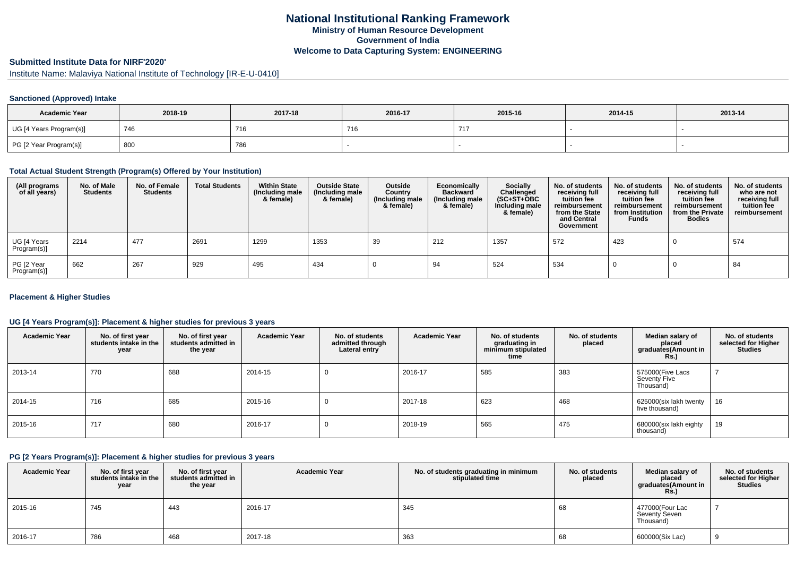## **National Institutional Ranking FrameworkMinistry of Human Resource DevelopmentGovernment of IndiaWelcome to Data Capturing System: ENGINEERING**

# **Submitted Institute Data for NIRF'2020'**

Institute Name: Malaviya National Institute of Technology [IR-E-U-0410]

### **Sanctioned (Approved) Intake**

| <b>Academic Year</b>    | 2018-19 | 2017-18 | 2016-17 | 2015-16 | 2014-15 | 2013-14 |
|-------------------------|---------|---------|---------|---------|---------|---------|
| UG [4 Years Program(s)] | 746     | 716     | 740     | 717     |         |         |
| PG [2 Year Program(s)]  | 800     | 786     |         |         |         |         |

#### **Total Actual Student Strength (Program(s) Offered by Your Institution)**

| (All programs<br>of all years) | No. of Male<br><b>Students</b> | No. of Female<br><b>Students</b> | <b>Total Students</b> | <b>Within State</b><br>(Including male<br>& female) | <b>Outside State</b><br>(Including male<br>& female) | Outside<br>Country<br>(Including male<br>& female) | Economically<br><b>Backward</b><br>(Including male<br>& female) | Socially<br>Challenged<br>$(SC+ST+OBC)$<br>Including male<br>& female) | No. of students<br>receiving full<br>tuition fee<br>reimbursement<br>from the State<br>and Central<br>Government | No. of students<br>receiving full<br>tuition fee<br>reimbursement<br>from Institution<br><b>Funds</b> | No. of students<br>receiving full<br>tuition fee<br>reimbursement<br>from the Private<br><b>Bodies</b> | No. of students<br>who are not<br>receiving full<br>tuition fee<br>reimbursement |
|--------------------------------|--------------------------------|----------------------------------|-----------------------|-----------------------------------------------------|------------------------------------------------------|----------------------------------------------------|-----------------------------------------------------------------|------------------------------------------------------------------------|------------------------------------------------------------------------------------------------------------------|-------------------------------------------------------------------------------------------------------|--------------------------------------------------------------------------------------------------------|----------------------------------------------------------------------------------|
| UG [4 Years<br>Program(s)]     | 2214                           | 477                              | 2691                  | 1299                                                | 1353                                                 | 39                                                 | 212                                                             | 1357                                                                   | 572                                                                                                              | 423                                                                                                   |                                                                                                        | 574                                                                              |
| PG [2 Year<br>Program(s)]      | 662                            | 267                              | 929                   | 495                                                 | 434                                                  |                                                    | 94                                                              | 524                                                                    | 534                                                                                                              |                                                                                                       |                                                                                                        | 84                                                                               |

#### **Placement & Higher Studies**

### **UG [4 Years Program(s)]: Placement & higher studies for previous 3 years**

| <b>Academic Year</b> | No. of first year<br>students intake in the<br>year | No. of first year<br>students admitted in<br>the year | <b>Academic Year</b> | No. of students<br>admitted through<br>Lateral entry | <b>Academic Year</b> | No. of students<br>graduating in<br>minimum stipulated<br>time | No. of students<br>placed | Median salary of<br>placed<br>graduates(Amount in<br>Rs. | No. of students<br>selected for Higher<br><b>Studies</b> |
|----------------------|-----------------------------------------------------|-------------------------------------------------------|----------------------|------------------------------------------------------|----------------------|----------------------------------------------------------------|---------------------------|----------------------------------------------------------|----------------------------------------------------------|
| 2013-14              | 770                                                 | 688                                                   | 2014-15              |                                                      | 2016-17              | 585                                                            | 383                       | 575000(Five Lacs<br>Seventy Five<br>Thousand)            |                                                          |
| 2014-15              | 716                                                 | 685                                                   | 2015-16              |                                                      | 2017-18              | 623                                                            | 468                       | 625000(six lakh twenty<br>five thousand)                 | 16                                                       |
| 2015-16              | 717                                                 | 680                                                   | 2016-17              |                                                      | 2018-19              | 565                                                            | 475                       | 680000(six lakh eighty<br>thousand)                      | 19                                                       |

#### **PG [2 Years Program(s)]: Placement & higher studies for previous 3 years**

| <b>Academic Year</b> | No. of first year<br>students intake in the<br>year | No. of first year<br>students admitted in<br>the year | <b>Academic Year</b> | No. of students graduating in minimum<br>stipulated time | No. of students<br>placed | Median salary of<br>placed<br>graduates(Amount in<br><b>Rs.)</b> | No. of students<br>selected for Higher<br><b>Studies</b> |
|----------------------|-----------------------------------------------------|-------------------------------------------------------|----------------------|----------------------------------------------------------|---------------------------|------------------------------------------------------------------|----------------------------------------------------------|
| 2015-16              | 745                                                 | 443                                                   | 2016-17              | 345                                                      | 68                        | 477000(Four Lac<br>Seventy Seven<br>Thousand)                    |                                                          |
| 2016-17              | 786                                                 | 468                                                   | 2017-18              | 363                                                      | 68                        | 600000(Six Lac)                                                  |                                                          |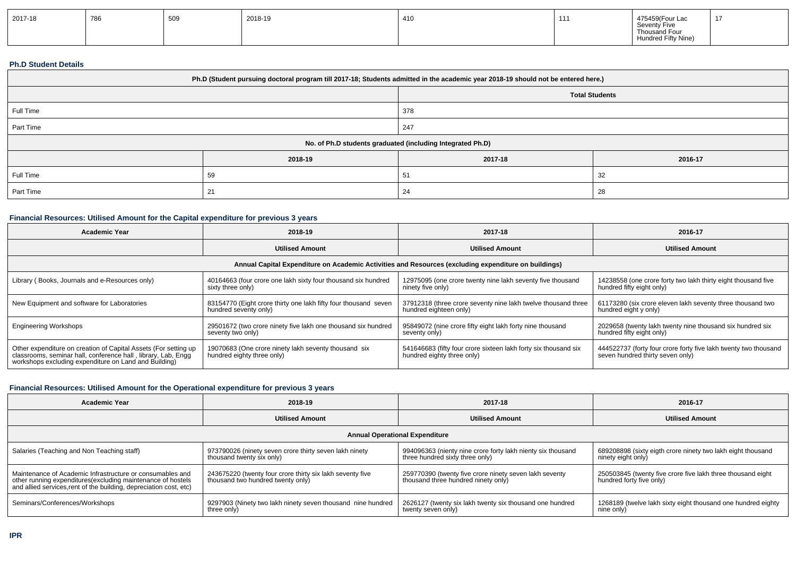| 2017-18 | 786 | 509 | 2018-19 | 410 | 111 | 475459(Four Lac<br>Seventy Five<br>Thousand Four | 47<br>$\blacksquare$ |
|---------|-----|-----|---------|-----|-----|--------------------------------------------------|----------------------|
|         |     |     |         |     |     | Hundred Fifty Nine)                              |                      |

#### **Ph.D Student Details**

| Ph.D (Student pursuing doctoral program till 2017-18; Students admitted in the academic year 2018-19 should not be entered here.) |         |                                                            |         |  |  |
|-----------------------------------------------------------------------------------------------------------------------------------|---------|------------------------------------------------------------|---------|--|--|
|                                                                                                                                   |         | <b>Total Students</b>                                      |         |  |  |
| Full Time                                                                                                                         |         | 378                                                        |         |  |  |
| Part Time                                                                                                                         |         | 247                                                        |         |  |  |
|                                                                                                                                   |         | No. of Ph.D students graduated (including Integrated Ph.D) |         |  |  |
|                                                                                                                                   | 2018-19 | 2017-18                                                    | 2016-17 |  |  |
| Full Time                                                                                                                         | 59      | 51                                                         | 32      |  |  |
| Part Time                                                                                                                         | 21      | 24                                                         | 28      |  |  |

## **Financial Resources: Utilised Amount for the Capital expenditure for previous 3 years**

| <b>Academic Year</b>                                                                                                          | 2018-19                                                                                              | 2017-18                                                         | 2016-17                                                         |  |  |  |  |  |
|-------------------------------------------------------------------------------------------------------------------------------|------------------------------------------------------------------------------------------------------|-----------------------------------------------------------------|-----------------------------------------------------------------|--|--|--|--|--|
|                                                                                                                               | <b>Utilised Amount</b>                                                                               | <b>Utilised Amount</b>                                          | <b>Utilised Amount</b>                                          |  |  |  |  |  |
|                                                                                                                               | Annual Capital Expenditure on Academic Activities and Resources (excluding expenditure on buildings) |                                                                 |                                                                 |  |  |  |  |  |
| Library (Books, Journals and e-Resources only)                                                                                | 40164663 (four crore one lakh sixty four thousand six hundred                                        | 12975095 (one crore twenty nine lakh seventy five thousand      | 14238558 (one crore forty two lakh thirty eight thousand five   |  |  |  |  |  |
|                                                                                                                               | sixty three only)                                                                                    | ninety five only)                                               | hundred fifty eight only)                                       |  |  |  |  |  |
| New Equipment and software for Laboratories                                                                                   | 83154770 (Eight crore thirty one lakh fifty four thousand seven                                      | 37912318 (three crore seventy nine lakh twelve thousand three   | 61173280 (six crore eleven lakh seventy three thousand two      |  |  |  |  |  |
|                                                                                                                               | hundred seventy only)                                                                                | hundred eighteen only)                                          | hundred eight y only)                                           |  |  |  |  |  |
| <b>Engineering Workshops</b>                                                                                                  | 29501672 (two crore ninety five lakh one thousand six hundred                                        | 95849072 (nine crore fifty eight lakh forty nine thousand       | 2029658 (twenty lakh twenty nine thousand six hundred six       |  |  |  |  |  |
|                                                                                                                               | seventy two only)                                                                                    | seventy only)                                                   | hundred fifty eight only)                                       |  |  |  |  |  |
| Other expenditure on creation of Capital Assets (For setting up classrooms, seminar hall, conference hall, library, Lab, Engg | 19070683 (One crore ninety lakh seventy thousand six                                                 | 541646683 (fifty four crore sixteen lakh forty six thousand six | 444522737 (forty four crore forty five lakh twenty two thousand |  |  |  |  |  |
| workshops excluding expenditure on Land and Building)                                                                         | hundred eighty three only)                                                                           | hundred eighty three only)                                      | seven hundred thirty seven only)                                |  |  |  |  |  |

#### **Financial Resources: Utilised Amount for the Operational expenditure for previous 3 years**

| <b>Academic Year</b>                                                                                                                                                                            | 2018-19                                                                                        | 2017-18                                                                                        | 2016-17                                                                                 |  |  |  |  |
|-------------------------------------------------------------------------------------------------------------------------------------------------------------------------------------------------|------------------------------------------------------------------------------------------------|------------------------------------------------------------------------------------------------|-----------------------------------------------------------------------------------------|--|--|--|--|
|                                                                                                                                                                                                 | <b>Utilised Amount</b>                                                                         | <b>Utilised Amount</b>                                                                         | <b>Utilised Amount</b>                                                                  |  |  |  |  |
| <b>Annual Operational Expenditure</b>                                                                                                                                                           |                                                                                                |                                                                                                |                                                                                         |  |  |  |  |
| Salaries (Teaching and Non Teaching staff)                                                                                                                                                      | 973790026 (ninety seven crore thirty seven lakh ninety<br>thousand twenty six only)            | 994096363 (nienty nine crore forty lakh nienty six thousand<br>three hundred sixty three only) | 689208898 (sixty eigth crore ninety two lakh eight thousand<br>ninety eight only)       |  |  |  |  |
| Maintenance of Academic Infrastructure or consumables and<br>other running expenditures (excluding maintenance of hostels<br>and allied services, rent of the building, depreciation cost, etc) | 243675220 (twenty four crore thirty six lakh seventy five<br>thousand two hundred twenty only) | 259770390 (twenty five crore ninety seven lakh seventy<br>thousand three hundred ninety only)  | 250503845 (twenty five crore five lakh three thousand eight<br>hundred forty five only) |  |  |  |  |
| Seminars/Conferences/Workshops                                                                                                                                                                  | 9297903 (Ninety two lakh ninety seven thousand nine hundred<br>three only)                     | 2626127 (twenty six lakh twenty six thousand one hundred<br>twenty seven only)                 | 1268189 (twelve lakh sixty eight thousand one hundred eighty<br>nine only)              |  |  |  |  |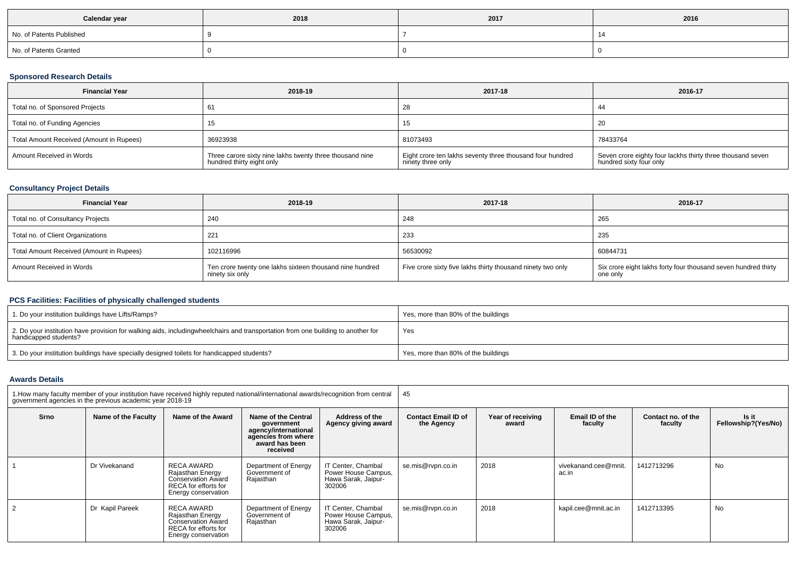| Calendar year            | 2018 | 2017 | 2016 |
|--------------------------|------|------|------|
| No. of Patents Published |      |      |      |
| No. of Patents Granted   |      |      |      |

## **Sponsored Research Details**

| <b>Financial Year</b>                    | 2018-19                                                                               | 2017-18                                                                        | 2016-17                                                                               |
|------------------------------------------|---------------------------------------------------------------------------------------|--------------------------------------------------------------------------------|---------------------------------------------------------------------------------------|
| Total no. of Sponsored Projects          |                                                                                       | 28                                                                             | -44                                                                                   |
| Total no. of Funding Agencies            |                                                                                       | 15                                                                             | 20                                                                                    |
| Total Amount Received (Amount in Rupees) | 36923938                                                                              | 81073493                                                                       | 78433764                                                                              |
| Amount Received in Words                 | Three carore sixty nine lakhs twenty three thousand nine<br>hundred thirty eight only | Eight crore ten lakhs seventy three thousand four hundred<br>ninety three only | Seven crore eighty four lackhs thirty three thousand seven<br>hundred sixty four only |

## **Consultancy Project Details**

| <b>Financial Year</b>                    | 2018-19                                                                     | 2017-18                                                     | 2016-17                                                                    |
|------------------------------------------|-----------------------------------------------------------------------------|-------------------------------------------------------------|----------------------------------------------------------------------------|
| Total no. of Consultancy Projects        | 240                                                                         | 248                                                         | 265                                                                        |
| Total no. of Client Organizations        | $22^{\circ}$                                                                | 233                                                         | 235                                                                        |
| Total Amount Received (Amount in Rupees) | 102116996                                                                   | 56530092                                                    | 60844731                                                                   |
| Amount Received in Words                 | Ten crore twenty one lakhs sixteen thousand nine hundred<br>ninety six only | Five crore sixty five lakhs thirty thousand ninety two only | Six crore eight lakhs forty four thousand seven hundred thirty<br>one only |

## **PCS Facilities: Facilities of physically challenged students**

| 1. Do your institution buildings have Lifts/Ramps?                                                                                                        | Yes, more than 80% of the buildings |
|-----------------------------------------------------------------------------------------------------------------------------------------------------------|-------------------------------------|
| 2. Do your institution have provision for walking aids, includingwheelchairs and transportation from one building to another for<br>handicapped students? | Yes                                 |
| 3. Do your institution buildings have specially designed toilets for handicapped students?                                                                | Yes, more than 80% of the buildings |

### **Awards Details**

|      | 1. How many faculty member of your institution have received highly reputed national/international awards/recognition from central<br>government agencies in the previous academic vear 2018-19 |                                                                                                            |                                                                                                                |                                                                            | 45                |                            |                               |                               |                              |  |  |
|------|-------------------------------------------------------------------------------------------------------------------------------------------------------------------------------------------------|------------------------------------------------------------------------------------------------------------|----------------------------------------------------------------------------------------------------------------|----------------------------------------------------------------------------|-------------------|----------------------------|-------------------------------|-------------------------------|------------------------------|--|--|
| Srno | Name of the Faculty                                                                                                                                                                             | Name of the Award                                                                                          | Name of the Central<br>government<br>agency/international<br>agencies from where<br>award has been<br>received | Address of the<br>Agency giving award                                      |                   | Year of receiving<br>award | Email ID of the<br>faculty    | Contact no. of the<br>faculty | Is it<br>Fellowship?(Yes/No) |  |  |
|      | Dr Vivekanand                                                                                                                                                                                   | RECA AWARD<br>Rajasthan Energy<br><b>Conservation Award</b><br>RECA for efforts for<br>Energy conservation | Department of Energy<br>Government of<br>Rajasthan                                                             | IT Center, Chambal<br>Power House Campus,<br>Hawa Sarak, Jaipur-<br>302006 | se.mis@rvpn.co.in | 2018                       | vivekanand.cee@mnit.<br>ac.in | 1412713296                    | No                           |  |  |
|      | Dr Kapil Pareek                                                                                                                                                                                 | RECA AWARD<br>Rajasthan Energy<br><b>Conservation Award</b><br>RECA for efforts for<br>Energy conservation | Department of Energy<br>Government of<br>Rajasthan                                                             | IT Center, Chambal<br>Power House Campus,<br>Hawa Sarak, Jaipur-<br>302006 | se.mis@rvpn.co.in | 2018                       | kapil.cee@mnit.ac.in          | 1412713395                    | No                           |  |  |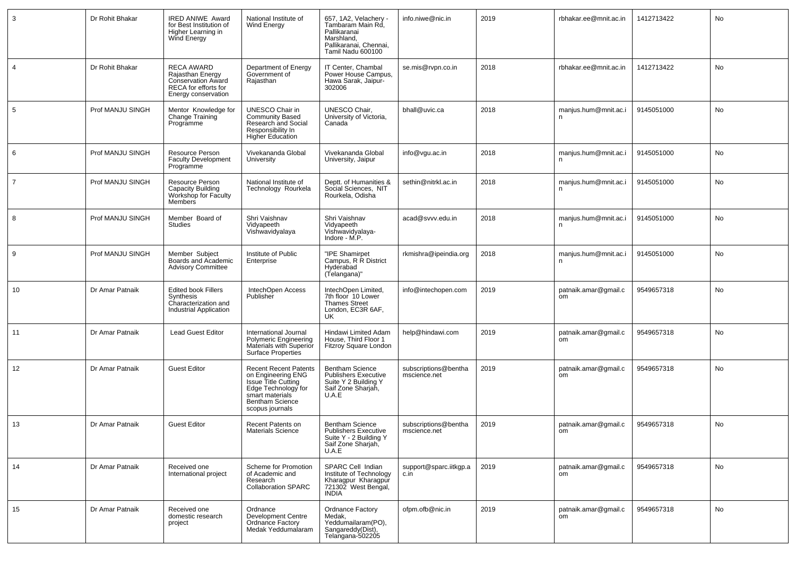| 3               | Dr Rohit Bhakar  | <b>IRED ANIWE Award</b><br>for Best Institution of<br>Higher Learning in<br>Wind Energy                           | National Institute of<br><b>Wind Energy</b>                                                                                                                      | 657, 1A2, Velachery -<br>Tambaram Main Rd,<br>Pallikaranai<br>Marshland,<br>Pallikaranai, Chennai,<br>Tamil Nadu 600100 | info.niwe@nic.in                     | 2019 | rbhakar.ee@mnit.ac.in                 | 1412713422 | No |
|-----------------|------------------|-------------------------------------------------------------------------------------------------------------------|------------------------------------------------------------------------------------------------------------------------------------------------------------------|-------------------------------------------------------------------------------------------------------------------------|--------------------------------------|------|---------------------------------------|------------|----|
| $\overline{4}$  | Dr Rohit Bhakar  | <b>RECA AWARD</b><br>Rajasthan Energy<br><b>Conservation Award</b><br>RECA for efforts for<br>Energy conservation | Department of Energy<br>Government of<br>Rajasthan                                                                                                               | IT Center, Chambal<br>Power House Campus,<br>Hawa Sarak, Jaipur-<br>302006                                              | se.mis@rvpn.co.in                    | 2018 | rbhakar.ee@mnit.ac.in                 | 1412713422 | No |
| $5\phantom{.0}$ | Prof MANJU SINGH | Mentor Knowledge for<br>Change Training<br>Programme                                                              | UNESCO Chair in<br><b>Community Based</b><br>Research and Social<br>Responsibility In<br>Higher Education                                                        | UNESCO Chair,<br>University of Victoria,<br>Canada                                                                      | bhall@uvic.ca                        | 2018 | manjus.hum@mnit.ac.i<br>n             | 9145051000 | No |
| 6               | Prof MANJU SINGH | Resource Person<br><b>Faculty Development</b><br>Programme                                                        | Vivekananda Global<br>University                                                                                                                                 | Vivekananda Global<br>University, Jaipur                                                                                | info@vgu.ac.in                       | 2018 | manjus.hum@mnit.ac.i<br>n             | 9145051000 | No |
| $\overline{7}$  | Prof MANJU SINGH | Resource Person<br>Capacity Building<br>Workshop for Faculty<br>Members                                           | National Institute of<br>Technology Rourkela                                                                                                                     | Deptt. of Humanities &<br>Social Sciences, NIT<br>Rourkela, Odisha                                                      | sethin@nitrkl.ac.in                  | 2018 | manjus.hum@mnit.ac.i                  | 9145051000 | No |
| 8               | Prof MANJU SINGH | Member Board of<br>Studies                                                                                        | Shri Vaishnav<br>Vidyapeeth<br>Vishwavidyalaya                                                                                                                   | Shri Vaishnav<br>Vidyapeeth<br>Vishwavidyalaya-<br>Indore - M.P.                                                        | acad@svvv.edu.in                     | 2018 | manjus.hum@mnit.ac.i<br>n.            | 9145051000 | No |
| 9               | Prof MANJU SINGH | Member Subiect<br>Boards and Academic<br><b>Advisory Committee</b>                                                | Institute of Public<br>Enterprise                                                                                                                                | "IPE Shamirpet<br>Campus, R R District<br>Hyderabad<br>(Telangana)"                                                     | rkmishra@ipeindia.org                | 2018 | manjus.hum@mnit.ac.i<br>n.            | 9145051000 | No |
| 10              | Dr Amar Patnaik  | <b>Edited book Fillers</b><br>Synthesis<br>Characterization and<br>Industrial Application                         | IntechOpen Access<br>Publisher                                                                                                                                   | IntechOpen Limited,<br>7th floor 10 Lower<br><b>Thames Street</b><br>London, EC3R 6AF,<br><b>UK</b>                     | info@intechopen.com                  | 2019 | patnaik.amar@gmail.c<br>om            | 9549657318 | No |
| 11              | Dr Amar Patnaik  | <b>Lead Guest Editor</b>                                                                                          | International Journal<br><b>Polymeric Engineering</b><br>Materials with Superior<br><b>Surface Properties</b>                                                    | Hindawi Limited Adam<br>House, Third Floor 1<br>Fitzroy Square London                                                   | help@hindawi.com                     | 2019 | patnaik.amar@gmail.c<br>om            | 9549657318 | No |
| 12              | Dr Amar Patnaik  | <b>Guest Editor</b>                                                                                               | <b>Recent Recent Patents</b><br>on Engineering ENG<br>Issue Title Cutting<br>Edge Technology for<br>smart materials<br><b>Bentham Science</b><br>scopus journals | Bentham Science<br><b>Publishers Executive</b><br>Suite Y 2 Building Y<br>Saif Zone Sharjah,<br>U.A.E                   | subscriptions@bentha<br>mscience.net | 2019 | patnaik.amar@gmail.c<br><sub>om</sub> | 9549657318 | No |
| 13              | Dr Amar Patnaik  | <b>Guest Editor</b>                                                                                               | Recent Patents on<br><b>Materials Science</b>                                                                                                                    | <b>Bentham Science</b><br><b>Publishers Executive</b><br>Suite Y - 2 Building Y<br>Saif Zone Sharjah,<br>U.A.E          | subscriptions@bentha<br>mscience.net | 2019 | patnaik.amar@gmail.c<br>om            | 9549657318 | No |
| 14              | Dr Amar Patnaik  | Received one<br>International project                                                                             | Scheme for Promotion<br>of Academic and<br>Research<br><b>Collaboration SPARC</b>                                                                                | SPARC Cell Indian<br>Institute of Technology<br>Kharagpur Kharagpur<br>721302 West Bengal,<br><b>INDIA</b>              | support@sparc.iitkgp.a<br>c.in       | 2019 | patnaik.amar@gmail.c<br>om            | 9549657318 | No |
| 15              | Dr Amar Patnaik  | Received one<br>domestic research<br>project                                                                      | Ordnance<br>Development Centre<br>Ordnance Factory<br>Medak Yeddumalaram                                                                                         | Ordnance Factory<br>Medak,<br>Yeddumailaram(PO),<br>Sangareddy(Dist),<br>Telangana-502205                               | ofpm.ofb@nic.in                      | 2019 | patnaik.amar@gmail.c<br>om            | 9549657318 | No |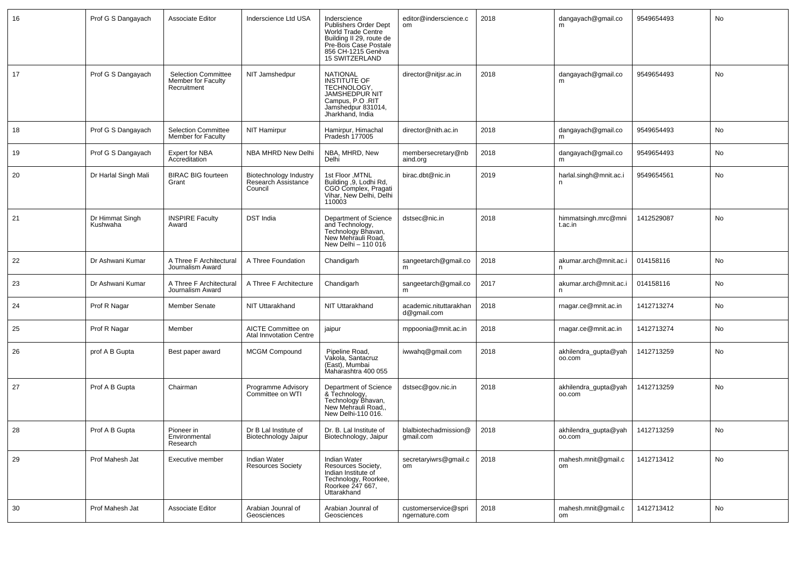| 16 | Prof G S Dangayach          | Associate Editor                                                | Inderscience Ltd USA                                     | Inderscience<br><b>Publishers Order Dept</b><br>World Trade Centre<br>Building II 29, route de<br>Pre-Bois Case Postale<br>856 CH-1215 Genèva<br>15 SWITZERLAND | editor@inderscience.c<br>om            | 2018 | dangayach@gmail.co<br>m        | 9549654493 | No |
|----|-----------------------------|-----------------------------------------------------------------|----------------------------------------------------------|-----------------------------------------------------------------------------------------------------------------------------------------------------------------|----------------------------------------|------|--------------------------------|------------|----|
| 17 | Prof G S Dangayach          | <b>Selection Committee</b><br>Member for Faculty<br>Recruitment | NIT Jamshedpur                                           | <b>NATIONAL</b><br>INSTITUTE OF<br>TECHNOLOGY,<br>JAMSHEDPUR NIT<br>Campus, P.O.RIT<br>Jamshedpur 831014,<br>Jharkhand, India                                   | director@nitjsr.ac.in                  | 2018 | dangayach@gmail.co<br>m        | 9549654493 | No |
| 18 | Prof G S Dangayach          | <b>Selection Committee</b><br>Member for Faculty                | <b>NIT Hamirpur</b>                                      | Hamirpur, Himachal<br>Pradesh 177005                                                                                                                            | director@nith.ac.in                    | 2018 | dangayach@gmail.co<br>m        | 9549654493 | No |
| 19 | Prof G S Dangayach          | Expert for NBA<br>Accreditation                                 | NBA MHRD New Delhi                                       | NBA, MHRD, New<br>Delhi                                                                                                                                         | membersecretary@nb<br>aind.org         | 2018 | dangayach@gmail.co<br>m        | 9549654493 | No |
| 20 | Dr Harlal Singh Mali        | <b>BIRAC BIG fourteen</b><br>Grant                              | Biotechnology Industry<br>Research Assistance<br>Council | 1st Floor , MTNL<br>Building , 9, Lodhi Rd,<br>CGO Complex, Pragati<br>Vihar, New Delhi, Delhi<br>110003                                                        | birac.dbt@nic.in                       | 2019 | harlal.singh@mnit.ac.i<br>n.   | 9549654561 | No |
| 21 | Dr Himmat Singh<br>Kushwaha | <b>INSPIRE Faculty</b><br>Award                                 | <b>DST India</b>                                         | Department of Science<br>and Technology,<br>Technology Bhavan,<br>New Mehrauli Road,<br>New Delhi - 110 016                                                     | dstsec@nic.in                          | 2018 | himmatsingh.mrc@mni<br>t.ac.in | 1412529087 | No |
| 22 | Dr Ashwani Kumar            | A Three F Architectural<br>Journalism Award                     | A Three Foundation                                       | Chandigarh                                                                                                                                                      | sangeetarch@gmail.co<br>m              | 2018 | akumar.arch@mnit.ac.i          | 014158116  | No |
| 23 | Dr Ashwani Kumar            | A Three F Architectural<br>Journalism Award                     | A Three F Architecture                                   | Chandigarh                                                                                                                                                      | sangeetarch@gmail.co                   | 2017 | akumar.arch@mnit.ac.i          | 014158116  | No |
| 24 | Prof R Nagar                | <b>Member Senate</b>                                            | NIT Uttarakhand                                          | NIT Uttarakhand                                                                                                                                                 | academic.nituttarakhan<br>d@gmail.com  | 2018 | rnagar.ce@mnit.ac.in           | 1412713274 | No |
| 25 | Prof R Nagar                | Member                                                          | AICTE Committee on<br>Atal Innvotation Centre            | jaipur                                                                                                                                                          | mppoonia@mnit.ac.in                    | 2018 | rnagar.ce@mnit.ac.in           | 1412713274 | No |
| 26 | prof A B Gupta              | Best paper award                                                | <b>MCGM Compound</b>                                     | Pipeline Road,<br>Vakola, Santacruz<br>(East), Mumbai<br>Maharashtra 400 055                                                                                    | iwwahq@gmail.com                       | 2018 | akhilendra_gupta@yah<br>00.com | 1412713259 | No |
| 27 | Prof A B Gupta              | Chairman                                                        | Programme Advisory<br>Committee on WTI                   | Department of Science<br>& Technology,<br>Technology Bhavan,<br>New Mehrauli Road,,<br>New Delhi-110 016.                                                       | dstsec@gov.nic.in                      | 2018 | akhilendra_gupta@yah<br>00.com | 1412713259 | No |
| 28 | Prof A B Gupta              | Pioneer in<br>Environmental<br>Research                         | Dr B Lal Institute of<br><b>Biotechnology Jaipur</b>     | Dr. B. Lal Institute of<br>Biotechnology, Jaipur                                                                                                                | blalbiotechadmission@<br>gmail.com     | 2018 | akhilendra_gupta@yah<br>oo.com | 1412713259 | No |
| 29 | Prof Mahesh Jat             | Executive member                                                | Indian Water<br><b>Resources Society</b>                 | Indian Water<br>Resources Society,<br>Indian Institute of<br>Technology, Roorkee,<br>Roorkee 247 667,<br>Uttarakhand                                            | secretaryiwrs@gmail.c<br>om            | 2018 | mahesh.mnit@gmail.c<br>om      | 1412713412 | No |
| 30 | Prof Mahesh Jat             | Associate Editor                                                | Arabian Jounral of<br>Geosciences                        | Arabian Jounral of<br>Geosciences                                                                                                                               | customerservice@spri<br>ngernature.com | 2018 | mahesh.mnit@gmail.c<br>om      | 1412713412 | No |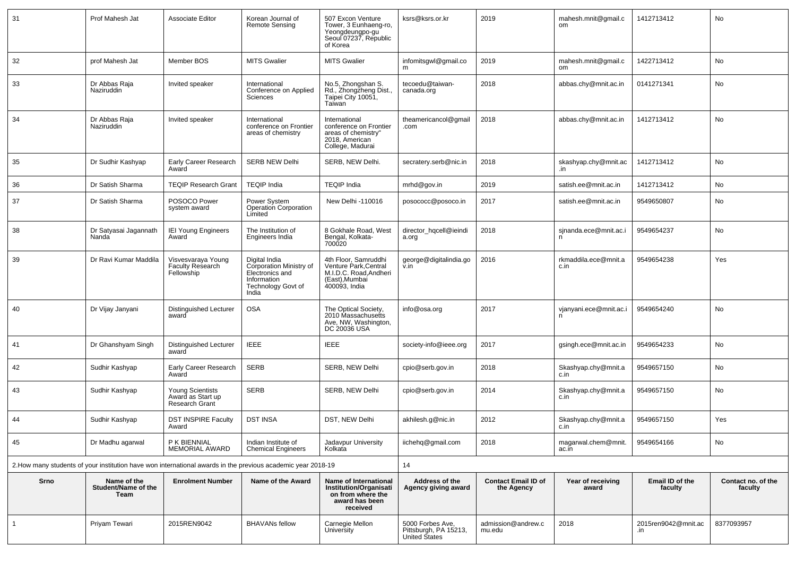| 31           | Prof Mahesh Jat                            | <b>Associate Editor</b>                                        | Korean Journal of<br>Remote Sensing                                                                              | 507 Excon Venture<br>Tower, 3 Eunhaeng-ro,<br>Yeongdeungpo-gu<br>Seoul 07237, Republic<br>of Korea         | ksrs@ksrs.or.kr                                            | 2019                                     | mahesh.mnit@gmail.c<br>om    | 1412713412                 | No                            |
|--------------|--------------------------------------------|----------------------------------------------------------------|------------------------------------------------------------------------------------------------------------------|------------------------------------------------------------------------------------------------------------|------------------------------------------------------------|------------------------------------------|------------------------------|----------------------------|-------------------------------|
| 32           | prof Mahesh Jat                            | Member BOS                                                     | <b>MITS Gwalier</b>                                                                                              | <b>MITS Gwalier</b>                                                                                        | infomitsgwl@gmail.co<br>m                                  | 2019                                     | mahesh.mnit@gmail.c<br>om    | 1422713412                 | No                            |
| 33           | Dr Abbas Raja<br>Naziruddin                | Invited speaker                                                | International<br>Conference on Applied<br>Sciences                                                               | No.5, Zhongshan S.<br>Rd., Zhongzheng Dist.,<br>Taipei City 10051,<br>Taiwan                               | tecoedu@taiwan-<br>canada.org                              | 2018                                     | abbas.chy@mnit.ac.in         | 0141271341                 | No                            |
| 34           | Dr Abbas Raja<br>Naziruddin                | Invited speaker                                                | International<br>conference on Frontier<br>areas of chemistry                                                    | International<br>conference on Frontier<br>areas of chemistry"<br>2018, American<br>College, Madurai       | theamericancol@gmail<br>.com                               | 2018                                     | abbas.chy@mnit.ac.in         | 1412713412                 | No                            |
| 35           | Dr Sudhir Kashyap                          | Early Career Research<br>Award                                 | <b>SERB NEW Delhi</b>                                                                                            | SERB, NEW Delhi.                                                                                           | secratery.serb@nic.in                                      | 2018                                     | skashyap.chy@mnit.ac         | 1412713412                 | No                            |
| 36           | Dr Satish Sharma                           | <b>TEQIP Research Grant</b>                                    | <b>TEQIP India</b>                                                                                               | <b>TEQIP India</b>                                                                                         | mrhd@gov.in                                                | 2019                                     | satish.ee@mnit.ac.in         | 1412713412                 | No                            |
| 37           | Dr Satish Sharma                           | POSOCO Power<br>system award                                   | Power System<br><b>Operation Corporation</b><br>Limited                                                          | New Delhi -110016                                                                                          | posococc@posoco.in                                         | 2017                                     | satish.ee@mnit.ac.in         | 9549650807                 | No                            |
| 38           | Dr Satyasai Jagannath<br>Nanda             | <b>IEI Young Engineers</b><br>Award                            | The Institution of<br>Engineers India                                                                            | 8 Gokhale Road, West<br>Bengal, Kolkata-<br>700020                                                         | director_hqcell@ieindi<br>a.org                            | 2018                                     | sjnanda.ece@mnit.ac.i<br>n   | 9549654237                 | No                            |
| 39           | Dr Ravi Kumar Maddila                      | Visvesvaraya Young<br><b>Faculty Research</b><br>Fellowship    | Digital India<br>Corporation Ministry of<br>Electronics and<br>Information<br><b>Technology Govt of</b><br>India | 4th Floor, Samruddhi<br>Venture Park, Central<br>M.I.D.C. Road, Andheri<br>(East), Mumbai<br>400093, India | george@digitalindia.go<br>v.in                             | 2016                                     | rkmaddila.ece@mnit.a<br>c.in | 9549654238                 | Yes                           |
| 40           | Dr Vijay Janyani                           | Distinguished Lecturer<br>award                                | <b>OSA</b>                                                                                                       | The Optical Society,<br>2010 Massachusetts<br>Ave, NW, Washington,<br>DC 20036 USA                         | info@osa.org                                               | 2017                                     | vjanyani.ece@mnit.ac.i       | 9549654240                 | No                            |
| 41           | Dr Ghanshyam Singh                         | Distinguished Lecturer<br>award                                | <b>IEEE</b>                                                                                                      | <b>IEEE</b>                                                                                                | society-info@ieee.org                                      | 2017                                     | gsingh.ece@mnit.ac.in        | 9549654233                 | No                            |
| 42           | Sudhir Kashyap                             | Early Career Research<br>Award                                 | <b>SERB</b>                                                                                                      | SERB, NEW Delhi                                                                                            | cpio@serb.gov.in                                           | 2018                                     | Skashyap.chy@mnit.a<br>c.in  | 9549657150                 | No                            |
| 43           | Sudhir Kashyap                             | <b>Young Scientists</b><br>Award as Start up<br>Research Grant | <b>SERB</b>                                                                                                      | SERB, NEW Delhi                                                                                            | cpio@serb.gov.in                                           | 2014                                     | Skashyap.chy@mnit.a<br>c.in  | 9549657150                 | No                            |
| 44           | Sudhir Kashyap                             | <b>DST INSPIRE Faculty</b><br>Award                            | <b>DST INSA</b>                                                                                                  | DST, NEW Delhi                                                                                             | akhilesh.q@nic.in                                          | 2012                                     | Skashyap.chy@mnit.a<br>c.in  | 9549657150                 | Yes                           |
| 45           | Dr Madhu agarwal                           | P K BIENNIAL<br>MEMORIAL AWARD                                 | Indian Institute of<br><b>Chemical Engineers</b>                                                                 | Jadavpur University<br>Kolkata                                                                             | iichehq@gmail.com                                          | 2018                                     | magarwal.chem@mnit.<br>ac.in | 9549654166                 | No                            |
|              |                                            |                                                                | 2. How many students of your institution have won international awards in the previous academic year 2018-19     |                                                                                                            | 14                                                         |                                          |                              |                            |                               |
| Srno         | Name of the<br>Student/Name of the<br>Team | <b>Enrolment Number</b>                                        | Name of the Award                                                                                                | Name of International<br>Institution/Organisati<br>on from where the<br>award has been<br>received         | Address of the<br>Agency giving award                      | <b>Contact Email ID of</b><br>the Agency | Year of receiving<br>award   | Email ID of the<br>faculty | Contact no. of the<br>faculty |
| $\mathbf{1}$ | Priyam Tewari                              | 2015REN9042                                                    | <b>BHAVANs fellow</b>                                                                                            | Carnegie Mellon<br>University                                                                              | 5000 Forbes Ave,<br>Pittsburgh, PA 15213,<br>United States | admission@andrew.c<br>mu.edu             | 2018                         | 2015ren9042@mnit.ac<br>.in | 8377093957                    |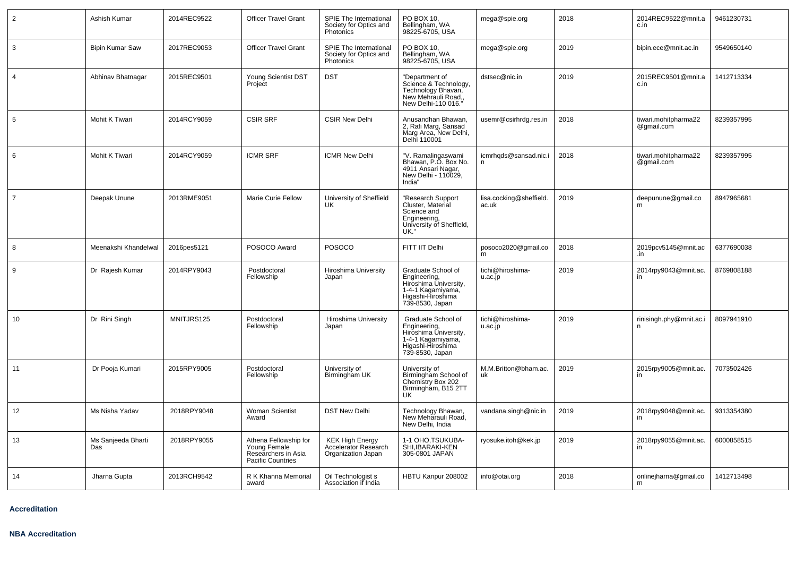| $\overline{2}$ | Ashish Kumar              | 2014REC9522 | <b>Officer Travel Grant</b>                                                              | SPIE The International<br>Society for Optics and<br>Photonics               | PO BOX 10,<br>Bellingham, WA<br>98225-6705, USA                                                                          | mega@spie.org                    | 2018 | 2014REC9522@mnit.a<br>c.in         | 9461230731 |
|----------------|---------------------------|-------------|------------------------------------------------------------------------------------------|-----------------------------------------------------------------------------|--------------------------------------------------------------------------------------------------------------------------|----------------------------------|------|------------------------------------|------------|
| $\mathbf{3}$   | <b>Bipin Kumar Saw</b>    | 2017REC9053 | <b>Officer Travel Grant</b>                                                              | SPIE The International<br>Society for Optics and<br>Photonics               | PO BOX 10,<br>Bellingham, WA<br>98225-6705, USA                                                                          | mega@spie.org                    | 2019 | bipin.ece@mnit.ac.in               | 9549650140 |
| $\overline{4}$ | Abhinav Bhatnagar         | 2015REC9501 | Young Scientist DST<br>Project                                                           | <b>DST</b>                                                                  | "Department of<br>Science & Technology,<br>Technology Bhavan,<br>New Mehrauli Road,,<br>New Delhi-110 016."              | dstsec@nic.in                    | 2019 | 2015REC9501@mnit.a<br>c.in         | 1412713334 |
| 5              | Mohit K Tiwari            | 2014RCY9059 | <b>CSIR SRF</b>                                                                          | <b>CSIR New Delhi</b>                                                       | Anusandhan Bhawan,<br>2, Rafi Marg, Sansad<br>Marg Area, New Delhi,<br>Delhi 110001                                      | usemr@csirhrdg.res.in            | 2018 | tiwari.mohitpharma22<br>@gmail.com | 8239357995 |
| 6              | Mohit K Tiwari            | 2014RCY9059 | <b>ICMR SRF</b>                                                                          | <b>ICMR New Delhi</b>                                                       | "V. Ramalingaswami<br>Bhawan, P.O. Box No.<br>4911 Ansari Nagar,<br>New Delhi - 110029,<br>India"                        | icmrhqds@sansad.nic.i<br>n       | 2018 | tiwari.mohitpharma22<br>@gmail.com | 8239357995 |
| $\overline{7}$ | Deepak Unune              | 2013RME9051 | Marie Curie Fellow                                                                       | University of Sheffield<br>UK                                               | "Research Support<br>Cluster, Material<br>Science and<br>Engineering,<br>University of Sheffield,<br>UK."                | lisa.cocking@sheffield.<br>ac.uk | 2019 | deepunune@gmail.co<br>m            | 8947965681 |
| 8              | Meenakshi Khandelwal      | 2016pes5121 | POSOCO Award                                                                             | POSOCO                                                                      | FITT IIT Delhi                                                                                                           | posoco2020@gmail.co<br>m         | 2018 | 2019pcv5145@mnit.ac<br>.in         | 6377690038 |
| 9              | Dr Rajesh Kumar           | 2014RPY9043 | Postdoctoral<br>Fellowship                                                               | Hiroshima University<br>Japan                                               | Graduate School of<br>Engineering,<br>Hiroshima University,<br>1-4-1 Kagamiyama,<br>Higashi-Hiroshima<br>739-8530, Japan | tichi@hiroshima-<br>u.ac.jp      | 2019 | 2014rpy9043@mnit.ac.<br>in         | 8769808188 |
| 10             | Dr Rini Singh             | MNITJRS125  | Postdoctoral<br>Fellowship                                                               | Hiroshima University<br>Japan                                               | Graduate School of<br>Engineering,<br>Hiroshima University,<br>1-4-1 Kagamiyama,<br>Higashi-Hiroshima<br>739-8530, Japan | tichi@hiroshima-<br>u.ac.jp      | 2019 | rinisingh.phy@mnit.ac.i<br>n       | 8097941910 |
| 11             | Dr Pooja Kumari           | 2015RPY9005 | Postdoctoral<br>Fellowship                                                               | University of<br>Birmingham UK                                              | University of<br>Birmingham School of<br>Chemistry Box 202<br>Birmingham, B15 2TT<br><b>UK</b>                           | M.M.Britton@bham.ac.<br>uk       | 2019 | 2015rpy9005@mnit.ac.               | 7073502426 |
| 12             | Ms Nisha Yadav            | 2018RPY9048 | Woman Scientist<br>Award                                                                 | <b>DST New Delhi</b>                                                        | Technology Bhawan,<br>New Meharauli Road,<br>New Delhi, India                                                            | vandana.singh@nic.in             | 2019 | 2018rpy9048@mnit.ac.<br>in         | 9313354380 |
| 13             | Ms Sanjeeda Bharti<br>Das | 2018RPY9055 | Athena Fellowship for<br>Young Female<br>Researchers in Asia<br><b>Pacific Countries</b> | <b>KEK High Energy</b><br><b>Accelerator Research</b><br>Organization Japan | 1-1 OHO, TSUKUBA-<br>SHI, IBARAKI-KEN<br>305-0801 JAPAN                                                                  | ryosuke.itoh@kek.jp              | 2019 | 2018rpy9055@mnit.ac.<br>in         | 6000858515 |
| 14             | Jharna Gupta              | 2013RCH9542 | R K Khanna Memorial<br>award                                                             | Oil Technologist s<br>Association if India                                  | HBTU Kanpur 208002                                                                                                       | info@otai.org                    | 2018 | onlinejharna@gmail.co<br>m         | 1412713498 |

**Accreditation**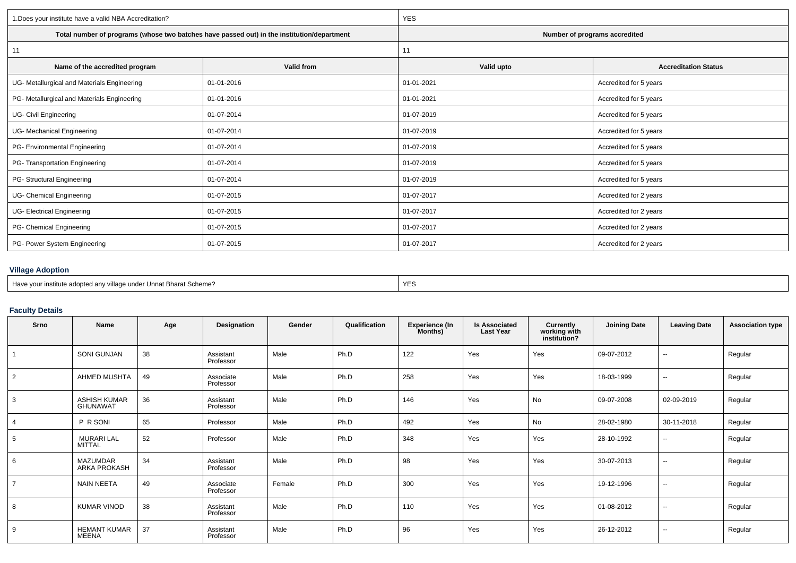| 1. Does your institute have a valid NBA Accreditation? |                                                                                            | <b>YES</b>                    |                             |  |  |  |  |
|--------------------------------------------------------|--------------------------------------------------------------------------------------------|-------------------------------|-----------------------------|--|--|--|--|
|                                                        | Total number of programs (whose two batches have passed out) in the institution/department | Number of programs accredited |                             |  |  |  |  |
| 11                                                     |                                                                                            | 11                            |                             |  |  |  |  |
| Name of the accredited program                         | Valid from                                                                                 | Valid upto                    | <b>Accreditation Status</b> |  |  |  |  |
| UG- Metallurgical and Materials Engineering            | 01-01-2016                                                                                 | 01-01-2021                    | Accredited for 5 years      |  |  |  |  |
| PG- Metallurgical and Materials Engineering            | 01-01-2016                                                                                 | 01-01-2021                    | Accredited for 5 years      |  |  |  |  |
| UG- Civil Engineering                                  | 01-07-2014                                                                                 | 01-07-2019                    | Accredited for 5 years      |  |  |  |  |
| UG- Mechanical Engineering                             | 01-07-2014                                                                                 | 01-07-2019                    | Accredited for 5 years      |  |  |  |  |
| PG- Environmental Engineering                          | 01-07-2014                                                                                 | 01-07-2019                    | Accredited for 5 years      |  |  |  |  |
| PG- Transportation Engineering                         | 01-07-2014                                                                                 | 01-07-2019                    | Accredited for 5 years      |  |  |  |  |
| PG- Structural Engineering                             | 01-07-2014                                                                                 | 01-07-2019                    | Accredited for 5 years      |  |  |  |  |
| UG- Chemical Engineering                               | 01-07-2015                                                                                 | 01-07-2017                    | Accredited for 2 years      |  |  |  |  |
| UG- Electrical Engineering                             | 01-07-2015                                                                                 | 01-07-2017                    | Accredited for 2 years      |  |  |  |  |
| PG- Chemical Engineering                               | 01-07-2015                                                                                 | 01-07-2017                    | Accredited for 2 years      |  |  |  |  |
| PG- Power System Engineering                           | 01-07-2015                                                                                 | 01-07-2017                    | Accredited for 2 years      |  |  |  |  |
|                                                        |                                                                                            |                               |                             |  |  |  |  |

## **Village Adoption**

| Have your institute adopted any village under Unnat Bharat Scheme? | <b>YES</b> |
|--------------------------------------------------------------------|------------|
|--------------------------------------------------------------------|------------|

# **Faculty Details**

| Srno           | Name                                   | Age | Designation            | Gender | Qualification | <b>Experience (In</b><br>Months) | <b>Is Associated</b><br><b>Last Year</b> | <b>Currently<br/>working with<br/>institution?</b> | <b>Joining Date</b> | <b>Leaving Date</b>      | <b>Association type</b> |
|----------------|----------------------------------------|-----|------------------------|--------|---------------|----------------------------------|------------------------------------------|----------------------------------------------------|---------------------|--------------------------|-------------------------|
|                | <b>SONI GUNJAN</b>                     | 38  | Assistant<br>Professor | Male   | Ph.D          | 122                              | Yes                                      | Yes                                                | 09-07-2012          | $\sim$                   | Regular                 |
| $\overline{2}$ | AHMED MUSHTA                           | 49  | Associate<br>Professor | Male   | Ph.D          | 258                              | Yes                                      | Yes                                                | 18-03-1999          | $\sim$                   | Regular                 |
| 3              | <b>ASHISH KUMAR</b><br><b>GHUNAWAT</b> | 36  | Assistant<br>Professor | Male   | Ph.D          | 146                              | Yes                                      | No                                                 | 09-07-2008          | 02-09-2019               | Regular                 |
| $\overline{4}$ | P R SONI                               | 65  | Professor              | Male   | Ph.D          | 492                              | Yes                                      | No                                                 | 28-02-1980          | 30-11-2018               | Regular                 |
| 5              | <b>MURARI LAL</b><br>MITTAL            | 52  | Professor              | Male   | Ph.D          | 348                              | Yes                                      | Yes                                                | 28-10-1992          | $\sim$                   | Regular                 |
| 6              | <b>MAZUMDAR</b><br>ARKA PROKASH        | 34  | Assistant<br>Professor | Male   | Ph.D          | 98                               | Yes                                      | Yes                                                | 30-07-2013          | $\sim$                   | Regular                 |
| $\overline{7}$ | <b>NAIN NEETA</b>                      | 49  | Associate<br>Professor | Female | Ph.D          | 300                              | Yes                                      | Yes                                                | 19-12-1996          | $\sim$                   | Regular                 |
| 8              | <b>KUMAR VINOD</b>                     | 38  | Assistant<br>Professor | Male   | Ph.D          | 110                              | Yes                                      | Yes                                                | 01-08-2012          | $\sim$                   | Regular                 |
| 9              | <b>HEMANT KUMAR</b><br>MEENA           | 37  | Assistant<br>Professor | Male   | Ph.D          | 96                               | Yes                                      | Yes                                                | 26-12-2012          | $\overline{\phantom{a}}$ | Regular                 |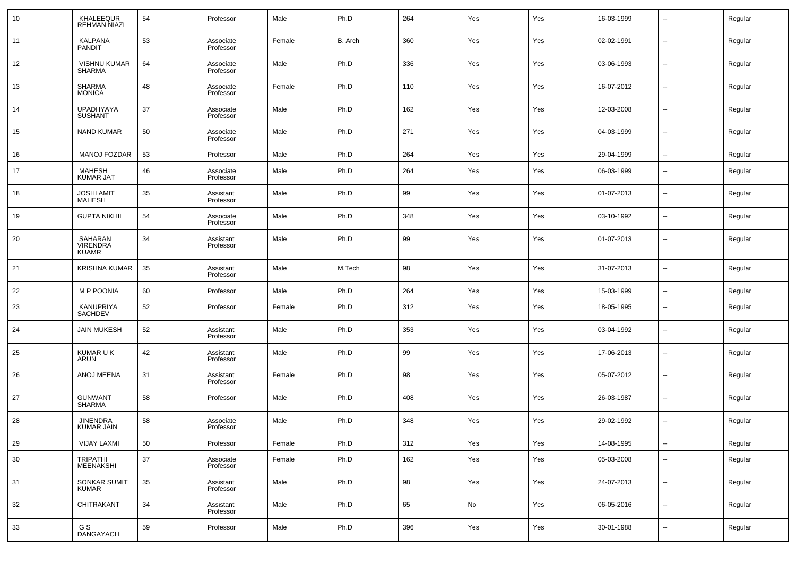| 10 | KHALEEQUR<br><b>REHMAN NIAZI</b>     | 54 | Professor              | Male   | Ph.D    | 264 | Yes | Yes | 16-03-1999 | $\overline{\phantom{a}}$ | Regular |
|----|--------------------------------------|----|------------------------|--------|---------|-----|-----|-----|------------|--------------------------|---------|
| 11 | KALPANA<br><b>PANDIT</b>             | 53 | Associate<br>Professor | Female | B. Arch | 360 | Yes | Yes | 02-02-1991 | $\overline{\phantom{a}}$ | Regular |
| 12 | <b>VISHNU KUMAR</b><br>SHARMA        | 64 | Associate<br>Professor | Male   | Ph.D    | 336 | Yes | Yes | 03-06-1993 | $\sim$                   | Regular |
| 13 | SHARMA<br>MONICA                     | 48 | Associate<br>Professor | Female | Ph.D    | 110 | Yes | Yes | 16-07-2012 | --                       | Regular |
| 14 | <b>UPADHYAYA</b><br><b>SUSHANT</b>   | 37 | Associate<br>Professor | Male   | Ph.D    | 162 | Yes | Yes | 12-03-2008 | $\overline{\phantom{a}}$ | Regular |
| 15 | <b>NAND KUMAR</b>                    | 50 | Associate<br>Professor | Male   | Ph.D    | 271 | Yes | Yes | 04-03-1999 | $\overline{\phantom{a}}$ | Regular |
| 16 | <b>MANOJ FOZDAR</b>                  | 53 | Professor              | Male   | Ph.D    | 264 | Yes | Yes | 29-04-1999 | $\overline{\phantom{a}}$ | Regular |
| 17 | <b>MAHESH</b><br><b>KUMAR JAT</b>    | 46 | Associate<br>Professor | Male   | Ph.D    | 264 | Yes | Yes | 06-03-1999 | --                       | Regular |
| 18 | <b>JOSHI AMIT</b><br><b>MAHESH</b>   | 35 | Assistant<br>Professor | Male   | Ph.D    | 99  | Yes | Yes | 01-07-2013 | $\overline{\phantom{a}}$ | Regular |
| 19 | <b>GUPTA NIKHIL</b>                  | 54 | Associate<br>Professor | Male   | Ph.D    | 348 | Yes | Yes | 03-10-1992 | $\overline{\phantom{a}}$ | Regular |
| 20 | SAHARAN<br>VIRENDRA<br>KUAMR         | 34 | Assistant<br>Professor | Male   | Ph.D    | 99  | Yes | Yes | 01-07-2013 | $\overline{\phantom{a}}$ | Regular |
| 21 | KRISHNA KUMAR                        | 35 | Assistant<br>Professor | Male   | M.Tech  | 98  | Yes | Yes | 31-07-2013 | $\overline{\phantom{a}}$ | Regular |
| 22 | <b>MP POONIA</b>                     | 60 | Professor              | Male   | Ph.D    | 264 | Yes | Yes | 15-03-1999 | $\overline{\phantom{a}}$ | Regular |
| 23 | KANUPRIYA<br><b>SACHDEV</b>          | 52 | Professor              | Female | Ph.D    | 312 | Yes | Yes | 18-05-1995 | $\overline{\phantom{a}}$ | Regular |
| 24 | <b>JAIN MUKESH</b>                   | 52 | Assistant<br>Professor | Male   | Ph.D    | 353 | Yes | Yes | 03-04-1992 | $\overline{\phantom{a}}$ | Regular |
| 25 | KUMAR U K<br>ARUN                    | 42 | Assistant<br>Professor | Male   | Ph.D    | 99  | Yes | Yes | 17-06-2013 | $\overline{\phantom{a}}$ | Regular |
| 26 | ANOJ MEENA                           | 31 | Assistant<br>Professor | Female | Ph.D    | 98  | Yes | Yes | 05-07-2012 | $\overline{\phantom{a}}$ | Regular |
| 27 | <b>GUNWANT</b><br><b>SHARMA</b>      | 58 | Professor              | Male   | Ph.D    | 408 | Yes | Yes | 26-03-1987 | $\overline{\phantom{a}}$ | Regular |
| 28 | <b>JINENDRA</b><br><b>KUMAR JAIN</b> | 58 | Associate<br>Professor | Male   | Ph.D    | 348 | Yes | Yes | 29-02-1992 | $\overline{\phantom{a}}$ | Regular |
| 29 | <b>VIJAY LAXMI</b>                   | 50 | Professor              | Female | Ph.D    | 312 | Yes | Yes | 14-08-1995 | ۰.                       | Regular |
| 30 | TRIPATHI<br>MEENAKSHI                | 37 | Associate<br>Professor | Female | Ph.D    | 162 | Yes | Yes | 05-03-2008 | $\sim$                   | Regular |
| 31 | SONKAR SUMIT<br><b>KUMAR</b>         | 35 | Assistant<br>Professor | Male   | Ph.D    | 98  | Yes | Yes | 24-07-2013 | $\sim$                   | Regular |
| 32 | <b>CHITRAKANT</b>                    | 34 | Assistant<br>Professor | Male   | Ph.D    | 65  | No  | Yes | 06-05-2016 | $\sim$                   | Regular |
| 33 | G S<br>DANGAYACH                     | 59 | Professor              | Male   | Ph.D    | 396 | Yes | Yes | 30-01-1988 | $\overline{\phantom{a}}$ | Regular |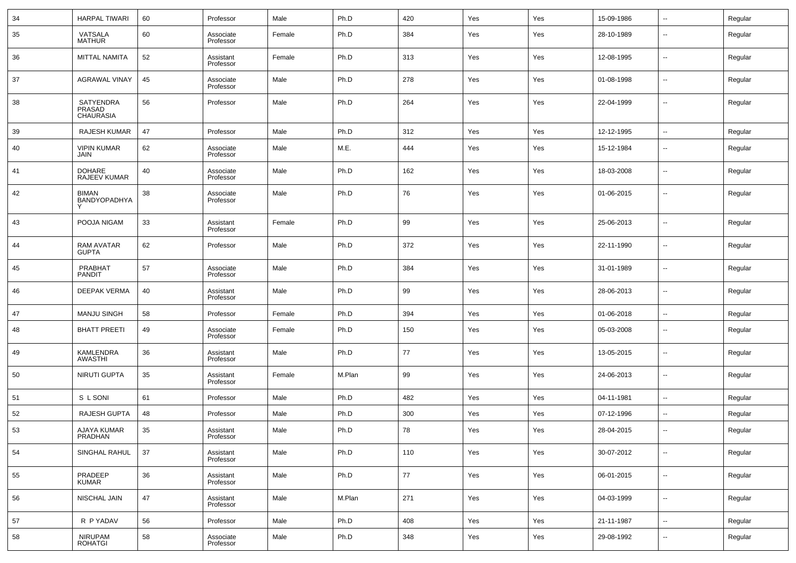| 34 | <b>HARPAL TIWARI</b>                | 60 | Professor              | Male   | Ph.D   | 420 | Yes | Yes | 15-09-1986 | $\sim$                   | Regular |
|----|-------------------------------------|----|------------------------|--------|--------|-----|-----|-----|------------|--------------------------|---------|
| 35 | VATSALA<br><b>MATHUR</b>            | 60 | Associate<br>Professor | Female | Ph.D   | 384 | Yes | Yes | 28-10-1989 | --                       | Regular |
| 36 | MITTAL NAMITA                       | 52 | Assistant<br>Professor | Female | Ph.D   | 313 | Yes | Yes | 12-08-1995 | ш.                       | Regular |
| 37 | <b>AGRAWAL VINAY</b>                | 45 | Associate<br>Professor | Male   | Ph.D   | 278 | Yes | Yes | 01-08-1998 | ш.                       | Regular |
| 38 | SATYENDRA<br>PRASAD<br>CHAURASIA    | 56 | Professor              | Male   | Ph.D   | 264 | Yes | Yes | 22-04-1999 | --                       | Regular |
| 39 | <b>RAJESH KUMAR</b>                 | 47 | Professor              | Male   | Ph.D   | 312 | Yes | Yes | 12-12-1995 | $\overline{\phantom{a}}$ | Regular |
| 40 | <b>VIPIN KUMAR</b><br>JAIN          | 62 | Associate<br>Professor | Male   | M.E.   | 444 | Yes | Yes | 15-12-1984 | $\sim$                   | Regular |
| 41 | <b>DOHARE</b><br>RAJEEV KUMAR       | 40 | Associate<br>Professor | Male   | Ph.D   | 162 | Yes | Yes | 18-03-2008 | ш.                       | Regular |
| 42 | <b>BIMAN</b><br><b>BANDYOPADHYA</b> | 38 | Associate<br>Professor | Male   | Ph.D   | 76  | Yes | Yes | 01-06-2015 | --                       | Regular |
| 43 | POOJA NIGAM                         | 33 | Assistant<br>Professor | Female | Ph.D   | 99  | Yes | Yes | 25-06-2013 | $\overline{\phantom{a}}$ | Regular |
| 44 | RAM AVATAR<br><b>GUPTA</b>          | 62 | Professor              | Male   | Ph.D   | 372 | Yes | Yes | 22-11-1990 | $\overline{\phantom{a}}$ | Regular |
| 45 | PRABHAT<br><b>PANDIT</b>            | 57 | Associate<br>Professor | Male   | Ph.D   | 384 | Yes | Yes | 31-01-1989 | $\sim$                   | Regular |
| 46 | <b>DEEPAK VERMA</b>                 | 40 | Assistant<br>Professor | Male   | Ph.D   | 99  | Yes | Yes | 28-06-2013 | $\overline{\phantom{a}}$ | Regular |
| 47 | <b>MANJU SINGH</b>                  | 58 | Professor              | Female | Ph.D   | 394 | Yes | Yes | 01-06-2018 | $\overline{\phantom{a}}$ | Regular |
| 48 | <b>BHATT PREETI</b>                 | 49 | Associate<br>Professor | Female | Ph.D   | 150 | Yes | Yes | 05-03-2008 | $\sim$                   | Regular |
| 49 | KAMLENDRA<br><b>AWASTHI</b>         | 36 | Assistant<br>Professor | Male   | Ph.D   | 77  | Yes | Yes | 13-05-2015 | $\sim$                   | Regular |
| 50 | NIRUTI GUPTA                        | 35 | Assistant<br>Professor | Female | M.Plan | 99  | Yes | Yes | 24-06-2013 | $\sim$                   | Regular |
| 51 | S L SONI                            | 61 | Professor              | Male   | Ph.D   | 482 | Yes | Yes | 04-11-1981 | $\sim$                   | Regular |
| 52 | <b>RAJESH GUPTA</b>                 | 48 | Professor              | Male   | Ph.D   | 300 | Yes | Yes | 07-12-1996 | --                       | Regular |
| 53 | <b>AJAYA KUMAR</b><br>PRADHAN       | 35 | Assistant<br>Professor | Male   | Ph.D   | 78  | Yes | Yes | 28-04-2015 | --                       | Regular |
| 54 | SINGHAL RAHUL                       | 37 | Assistant<br>Professor | Male   | Ph.D   | 110 | Yes | Yes | 30-07-2012 | $\overline{\phantom{a}}$ | Regular |
| 55 | PRADEEP<br><b>KUMAR</b>             | 36 | Assistant<br>Professor | Male   | Ph.D   | 77  | Yes | Yes | 06-01-2015 | $\sim$                   | Regular |
| 56 | NISCHAL JAIN                        | 47 | Assistant<br>Professor | Male   | M.Plan | 271 | Yes | Yes | 04-03-1999 | $\overline{\phantom{a}}$ | Regular |
| 57 | R P YADAV                           | 56 | Professor              | Male   | Ph.D   | 408 | Yes | Yes | 21-11-1987 | $\overline{\phantom{a}}$ | Regular |
| 58 | <b>NIRUPAM</b><br><b>ROHATGI</b>    | 58 | Associate<br>Professor | Male   | Ph.D   | 348 | Yes | Yes | 29-08-1992 | --                       | Regular |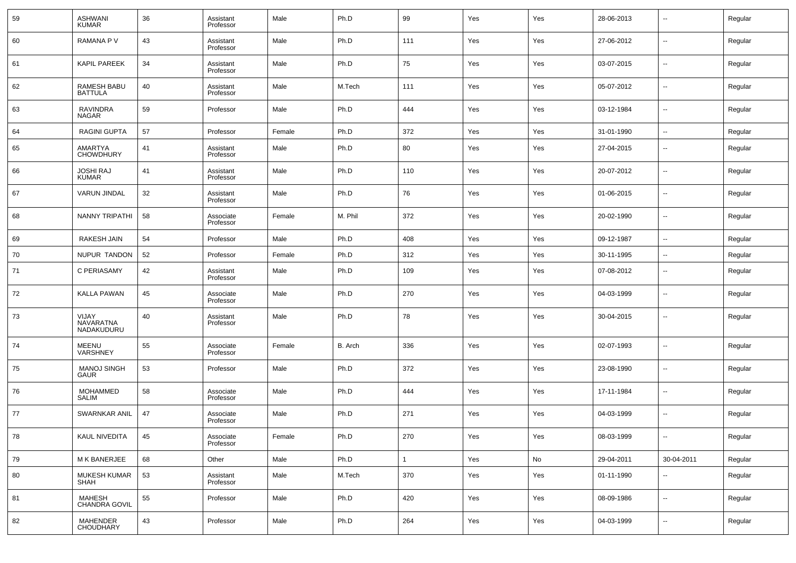| 59 | <b>ASHWANI</b><br><b>KUMAR</b>     | 36 | Assistant<br>Professor | Male   | Ph.D    | 99           | Yes | Yes | 28-06-2013 | $\overline{\phantom{a}}$ | Regular |
|----|------------------------------------|----|------------------------|--------|---------|--------------|-----|-----|------------|--------------------------|---------|
| 60 | RAMANA P V                         | 43 | Assistant<br>Professor | Male   | Ph.D    | 111          | Yes | Yes | 27-06-2012 | $\overline{\phantom{a}}$ | Regular |
| 61 | <b>KAPIL PAREEK</b>                | 34 | Assistant<br>Professor | Male   | Ph.D    | 75           | Yes | Yes | 03-07-2015 | $\sim$                   | Regular |
| 62 | RAMESH BABU<br><b>BATTULA</b>      | 40 | Assistant<br>Professor | Male   | M.Tech  | 111          | Yes | Yes | 05-07-2012 | $\overline{\phantom{a}}$ | Regular |
| 63 | RAVINDRA<br><b>NAGAR</b>           | 59 | Professor              | Male   | Ph.D    | 444          | Yes | Yes | 03-12-1984 | $\overline{\phantom{a}}$ | Regular |
| 64 | <b>RAGINI GUPTA</b>                | 57 | Professor              | Female | Ph.D    | 372          | Yes | Yes | 31-01-1990 | $\overline{\phantom{a}}$ | Regular |
| 65 | <b>AMARTYA</b><br><b>CHOWDHURY</b> | 41 | Assistant<br>Professor | Male   | Ph.D    | 80           | Yes | Yes | 27-04-2015 | $\overline{\phantom{a}}$ | Regular |
| 66 | <b>JOSHI RAJ</b><br><b>KUMAR</b>   | 41 | Assistant<br>Professor | Male   | Ph.D    | 110          | Yes | Yes | 20-07-2012 | $\overline{\phantom{a}}$ | Regular |
| 67 | <b>VARUN JINDAL</b>                | 32 | Assistant<br>Professor | Male   | Ph.D    | 76           | Yes | Yes | 01-06-2015 | $\overline{\phantom{a}}$ | Regular |
| 68 | <b>NANNY TRIPATHI</b>              | 58 | Associate<br>Professor | Female | M. Phil | 372          | Yes | Yes | 20-02-1990 | $\overline{\phantom{a}}$ | Regular |
| 69 | <b>RAKESH JAIN</b>                 | 54 | Professor              | Male   | Ph.D    | 408          | Yes | Yes | 09-12-1987 | $\overline{\phantom{a}}$ | Regular |
| 70 | NUPUR TANDON                       | 52 | Professor              | Female | Ph.D    | 312          | Yes | Yes | 30-11-1995 | $\overline{\phantom{a}}$ | Regular |
| 71 | C PERIASAMY                        | 42 | Assistant<br>Professor | Male   | Ph.D    | 109          | Yes | Yes | 07-08-2012 | --                       | Regular |
| 72 | <b>KALLA PAWAN</b>                 | 45 | Associate<br>Professor | Male   | Ph.D    | 270          | Yes | Yes | 04-03-1999 | --                       | Regular |
| 73 | VIJAY<br>NAVARATNA<br>NADAKUDURU   | 40 | Assistant<br>Professor | Male   | Ph.D    | 78           | Yes | Yes | 30-04-2015 | --                       | Regular |
| 74 | MEENU<br>VARSHNEY                  | 55 | Associate<br>Professor | Female | B. Arch | 336          | Yes | Yes | 02-07-1993 | $\ddotsc$                | Regular |
| 75 | <b>MANOJ SINGH</b><br><b>GAUR</b>  | 53 | Professor              | Male   | Ph.D    | 372          | Yes | Yes | 23-08-1990 | $\overline{\phantom{a}}$ | Regular |
| 76 | <b>MOHAMMED</b><br><b>SALIM</b>    | 58 | Associate<br>Professor | Male   | Ph.D    | 444          | Yes | Yes | 17-11-1984 | $\overline{\phantom{a}}$ | Regular |
| 77 | SWARNKAR ANIL                      | 47 | Associate<br>Professor | Male   | Ph.D    | 271          | Yes | Yes | 04-03-1999 | $\overline{\phantom{a}}$ | Regular |
| 78 | KAUL NIVEDITA                      | 45 | Associate<br>Professor | Female | Ph.D    | 270          | Yes | Yes | 08-03-1999 | $\overline{\phantom{a}}$ | Regular |
| 79 | M K BANERJEE                       | 68 | Other                  | Male   | Ph.D    | $\mathbf{1}$ | Yes | No  | 29-04-2011 | 30-04-2011               | Regular |
| 80 | <b>MUKESH KUMAR</b><br>SHAH        | 53 | Assistant<br>Professor | Male   | M.Tech  | 370          | Yes | Yes | 01-11-1990 | $\sim$                   | Regular |
| 81 | <b>MAHESH</b><br>CHANDRA GOVIL     | 55 | Professor              | Male   | Ph.D    | 420          | Yes | Yes | 08-09-1986 | $\sim$                   | Regular |
| 82 | MAHENDER<br>CHOUDHARY              | 43 | Professor              | Male   | Ph.D    | 264          | Yes | Yes | 04-03-1999 | $\overline{\phantom{a}}$ | Regular |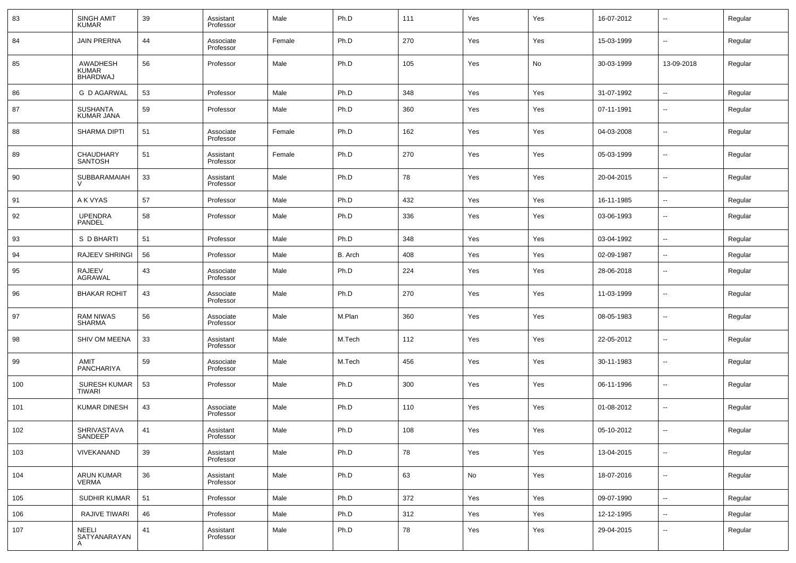| 83  | <b>SINGH AMIT</b><br>KUMAR           | 39 | Assistant<br>Professor | Male   | Ph.D    | 111 | Yes | Yes | 16-07-2012 | $\overline{\phantom{a}}$ | Regular |
|-----|--------------------------------------|----|------------------------|--------|---------|-----|-----|-----|------------|--------------------------|---------|
| 84  | <b>JAIN PRERNA</b>                   | 44 | Associate<br>Professor | Female | Ph.D    | 270 | Yes | Yes | 15-03-1999 | $\sim$                   | Regular |
| 85  | AWADHESH<br>KUMAR<br>BHARDWAJ        | 56 | Professor              | Male   | Ph.D    | 105 | Yes | No  | 30-03-1999 | 13-09-2018               | Regular |
| 86  | <b>G D AGARWAL</b>                   | 53 | Professor              | Male   | Ph.D    | 348 | Yes | Yes | 31-07-1992 | $\sim$                   | Regular |
| 87  | <b>SUSHANTA</b><br>KUMAR JANA        | 59 | Professor              | Male   | Ph.D    | 360 | Yes | Yes | 07-11-1991 | $\sim$                   | Regular |
| 88  | <b>SHARMA DIPTI</b>                  | 51 | Associate<br>Professor | Female | Ph.D    | 162 | Yes | Yes | 04-03-2008 | --                       | Regular |
| 89  | <b>CHAUDHARY</b><br><b>SANTOSH</b>   | 51 | Assistant<br>Professor | Female | Ph.D    | 270 | Yes | Yes | 05-03-1999 | $\sim$                   | Regular |
| 90  | SUBBARAMAIAH                         | 33 | Assistant<br>Professor | Male   | Ph.D    | 78  | Yes | Yes | 20-04-2015 | $\sim$                   | Regular |
| 91  | A K VYAS                             | 57 | Professor              | Male   | Ph.D    | 432 | Yes | Yes | 16-11-1985 | $\overline{\phantom{a}}$ | Regular |
| 92  | <b>UPENDRA</b><br>PANDEL             | 58 | Professor              | Male   | Ph.D    | 336 | Yes | Yes | 03-06-1993 | --                       | Regular |
| 93  | S D BHARTI                           | 51 | Professor              | Male   | Ph.D    | 348 | Yes | Yes | 03-04-1992 | $\sim$                   | Regular |
| 94  | RAJEEV SHRINGI                       | 56 | Professor              | Male   | B. Arch | 408 | Yes | Yes | 02-09-1987 | $\overline{\phantom{a}}$ | Regular |
| 95  | RAJEEV<br>AGRAWAL                    | 43 | Associate<br>Professor | Male   | Ph.D    | 224 | Yes | Yes | 28-06-2018 | --                       | Regular |
| 96  | <b>BHAKAR ROHIT</b>                  | 43 | Associate<br>Professor | Male   | Ph.D    | 270 | Yes | Yes | 11-03-1999 | --                       | Regular |
| 97  | <b>RAM NIWAS</b><br><b>SHARMA</b>    | 56 | Associate<br>Professor | Male   | M.Plan  | 360 | Yes | Yes | 08-05-1983 | --                       | Regular |
| 98  | SHIV OM MEENA                        | 33 | Assistant<br>Professor | Male   | M.Tech  | 112 | Yes | Yes | 22-05-2012 | --                       | Regular |
| 99  | <b>AMIT</b><br><b>PANCHARIYA</b>     | 59 | Associate<br>Professor | Male   | M.Tech  | 456 | Yes | Yes | 30-11-1983 | --                       | Regular |
| 100 | <b>SURESH KUMAR</b><br><b>TIWARI</b> | 53 | Professor              | Male   | Ph.D    | 300 | Yes | Yes | 06-11-1996 | --                       | Regular |
| 101 | <b>KUMAR DINESH</b>                  | 43 | Associate<br>Professor | Male   | Ph.D    | 110 | Yes | Yes | 01-08-2012 | --                       | Regular |
| 102 | <b>SHRIVASTAVA</b><br>SANDEEP        | 41 | Assistant<br>Professor | Male   | Ph.D    | 108 | Yes | Yes | 05-10-2012 | --                       | Regular |
| 103 | VIVEKANAND                           | 39 | Assistant<br>Professor | Male   | Ph.D    | 78  | Yes | Yes | 13-04-2015 | $\overline{\phantom{a}}$ | Regular |
| 104 | ARUN KUMAR<br>VERMA                  | 36 | Assistant<br>Professor | Male   | Ph.D    | 63  | No  | Yes | 18-07-2016 | $\sim$                   | Regular |
| 105 | SUDHIR KUMAR                         | 51 | Professor              | Male   | Ph.D    | 372 | Yes | Yes | 09-07-1990 | $\overline{\phantom{a}}$ | Regular |
| 106 | RAJIVE TIWARI                        | 46 | Professor              | Male   | Ph.D    | 312 | Yes | Yes | 12-12-1995 | $\sim$                   | Regular |
| 107 | NEELI<br>SATYANARAYAN<br>A           | 41 | Assistant<br>Professor | Male   | Ph.D    | 78  | Yes | Yes | 29-04-2015 | $\sim$                   | Regular |
|     |                                      |    |                        |        |         |     |     |     |            |                          |         |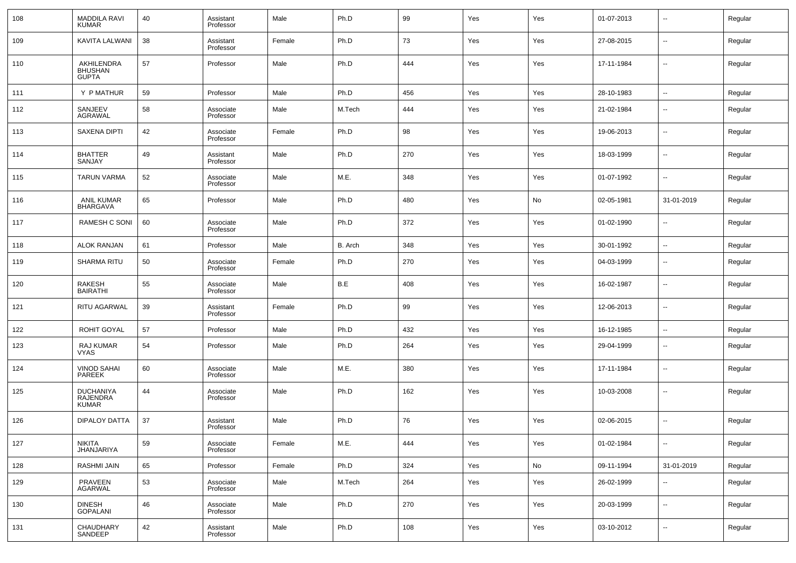| 108 | <b>MADDILA RAVI</b><br><b>KUMAR</b>                 | 40 | Assistant<br>Professor | Male   | Ph.D    | 99  | Yes | Yes | 01-07-2013 | --                       | Regular |
|-----|-----------------------------------------------------|----|------------------------|--------|---------|-----|-----|-----|------------|--------------------------|---------|
| 109 | KAVITA LALWANI                                      | 38 | Assistant<br>Professor | Female | Ph.D    | 73  | Yes | Yes | 27-08-2015 | --                       | Regular |
| 110 | AKHILENDRA<br><b>BHUSHAN</b><br><b>GUPTA</b>        | 57 | Professor              | Male   | Ph.D    | 444 | Yes | Yes | 17-11-1984 | --                       | Regular |
| 111 | Y P MATHUR                                          | 59 | Professor              | Male   | Ph.D    | 456 | Yes | Yes | 28-10-1983 | ÷.                       | Regular |
| 112 | SANJEEV<br><b>AGRAWAL</b>                           | 58 | Associate<br>Professor | Male   | M.Tech  | 444 | Yes | Yes | 21-02-1984 | --                       | Regular |
| 113 | <b>SAXENA DIPTI</b>                                 | 42 | Associate<br>Professor | Female | Ph.D    | 98  | Yes | Yes | 19-06-2013 | н.                       | Regular |
| 114 | <b>BHATTER</b><br>SANJAY                            | 49 | Assistant<br>Professor | Male   | Ph.D    | 270 | Yes | Yes | 18-03-1999 | --                       | Regular |
| 115 | <b>TARUN VARMA</b>                                  | 52 | Associate<br>Professor | Male   | M.E.    | 348 | Yes | Yes | 01-07-1992 | --                       | Regular |
| 116 | <b>ANIL KUMAR</b><br>BHARGAVA                       | 65 | Professor              | Male   | Ph.D    | 480 | Yes | No  | 02-05-1981 | 31-01-2019               | Regular |
| 117 | RAMESH C SONI                                       | 60 | Associate<br>Professor | Male   | Ph.D    | 372 | Yes | Yes | 01-02-1990 | --                       | Regular |
| 118 | <b>ALOK RANJAN</b>                                  | 61 | Professor              | Male   | B. Arch | 348 | Yes | Yes | 30-01-1992 | $\sim$                   | Regular |
| 119 | <b>SHARMA RITU</b>                                  | 50 | Associate<br>Professor | Female | Ph.D    | 270 | Yes | Yes | 04-03-1999 | --                       | Regular |
| 120 | <b>RAKESH</b><br><b>BAIRATHI</b>                    | 55 | Associate<br>Professor | Male   | B.E     | 408 | Yes | Yes | 16-02-1987 | --                       | Regular |
| 121 | <b>RITU AGARWAL</b>                                 | 39 | Assistant<br>Professor | Female | Ph.D    | 99  | Yes | Yes | 12-06-2013 | --                       | Regular |
| 122 | ROHIT GOYAL                                         | 57 | Professor              | Male   | Ph.D    | 432 | Yes | Yes | 16-12-1985 | --                       | Regular |
| 123 | RAJ KUMAR<br><b>VYAS</b>                            | 54 | Professor              | Male   | Ph.D    | 264 | Yes | Yes | 29-04-1999 | $\overline{\phantom{a}}$ | Regular |
| 124 | VINOD SAHAI<br><b>PAREEK</b>                        | 60 | Associate<br>Professor | Male   | M.E.    | 380 | Yes | Yes | 17-11-1984 | $\overline{\phantom{a}}$ | Regular |
| 125 | <b>DUCHANIYA</b><br><b>RAJENDRA</b><br><b>KUMAR</b> | 44 | Associate<br>Professor | Male   | Ph.D    | 162 | Yes | Yes | 10-03-2008 | $\overline{a}$           | Regular |
| 126 | <b>DIPALOY DATTA</b>                                | 37 | Assistant<br>Professor | Male   | Ph.D    | 76  | Yes | Yes | 02-06-2015 | --                       | Regular |
| 127 | <b>NIKITA</b><br><b>JHANJARIYA</b>                  | 59 | Associate<br>Professor | Female | M.E.    | 444 | Yes | Yes | 01-02-1984 | --                       | Regular |
| 128 | <b>RASHMI JAIN</b>                                  | 65 | Professor              | Female | Ph.D    | 324 | Yes | No  | 09-11-1994 | 31-01-2019               | Regular |
| 129 | PRAVEEN<br><b>AGARWAL</b>                           | 53 | Associate<br>Professor | Male   | M.Tech  | 264 | Yes | Yes | 26-02-1999 | −−                       | Regular |
| 130 | <b>DINESH</b><br><b>GOPALANI</b>                    | 46 | Associate<br>Professor | Male   | Ph.D    | 270 | Yes | Yes | 20-03-1999 | ÷.                       | Regular |
| 131 | CHAUDHARY<br>SANDEEP                                | 42 | Assistant<br>Professor | Male   | Ph.D    | 108 | Yes | Yes | 03-10-2012 | $\sim$                   | Regular |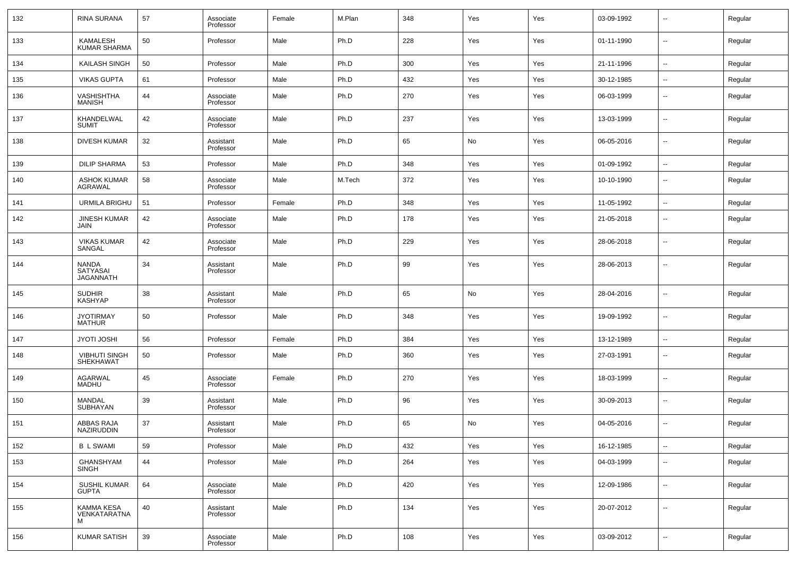| 132 | RINA SURANA                           | 57     | Associate<br>Professor | Female | M.Plan | 348 | Yes | Yes | 03-09-1992 | --                       | Regular |
|-----|---------------------------------------|--------|------------------------|--------|--------|-----|-----|-----|------------|--------------------------|---------|
| 133 | KAMALESH<br><b>KUMAR SHARMA</b>       | 50     | Professor              | Male   | Ph.D   | 228 | Yes | Yes | 01-11-1990 | --                       | Regular |
| 134 | KAILASH SINGH                         | 50     | Professor              | Male   | Ph.D   | 300 | Yes | Yes | 21-11-1996 | $\overline{\phantom{a}}$ | Regular |
| 135 | <b>VIKAS GUPTA</b>                    | 61     | Professor              | Male   | Ph.D   | 432 | Yes | Yes | 30-12-1985 | $\sim$                   | Regular |
| 136 | VASHISHTHA<br><b>MANISH</b>           | 44     | Associate<br>Professor | Male   | Ph.D   | 270 | Yes | Yes | 06-03-1999 | --                       | Regular |
| 137 | KHANDELWAL<br><b>SUMIT</b>            | 42     | Associate<br>Professor | Male   | Ph.D   | 237 | Yes | Yes | 13-03-1999 | --                       | Regular |
| 138 | <b>DIVESH KUMAR</b>                   | 32     | Assistant<br>Professor | Male   | Ph.D   | 65  | No  | Yes | 06-05-2016 | $\overline{\phantom{a}}$ | Regular |
| 139 | <b>DILIP SHARMA</b>                   | 53     | Professor              | Male   | Ph.D   | 348 | Yes | Yes | 01-09-1992 | $\overline{\phantom{a}}$ | Regular |
| 140 | <b>ASHOK KUMAR</b><br>AGRAWAL         | 58     | Associate<br>Professor | Male   | M.Tech | 372 | Yes | Yes | 10-10-1990 | --                       | Regular |
| 141 | URMILA BRIGHU                         | 51     | Professor              | Female | Ph.D   | 348 | Yes | Yes | 11-05-1992 | --                       | Regular |
| 142 | <b>JINESH KUMAR</b><br>JAIN           | 42     | Associate<br>Professor | Male   | Ph.D   | 178 | Yes | Yes | 21-05-2018 | $\overline{\phantom{a}}$ | Regular |
| 143 | <b>VIKAS KUMAR</b><br>SANGAL          | 42     | Associate<br>Professor | Male   | Ph.D   | 229 | Yes | Yes | 28-06-2018 | --                       | Regular |
| 144 | NANDA<br>SATYASAI<br><b>JAGANNATH</b> | 34     | Assistant<br>Professor | Male   | Ph.D   | 99  | Yes | Yes | 28-06-2013 | --                       | Regular |
| 145 | <b>SUDHIR</b><br><b>KASHYAP</b>       | 38     | Assistant<br>Professor | Male   | Ph.D   | 65  | No  | Yes | 28-04-2016 | --                       | Regular |
| 146 | <b>JYOTIRMAY</b><br><b>MATHUR</b>     | 50     | Professor              | Male   | Ph.D   | 348 | Yes | Yes | 19-09-1992 | --                       | Regular |
| 147 | <b>JYOTI JOSHI</b>                    | 56     | Professor              | Female | Ph.D   | 384 | Yes | Yes | 13-12-1989 | ш,                       | Regular |
| 148 | <b>VIBHUTI SINGH</b><br>SHEKHAWAT     | 50     | Professor              | Male   | Ph.D   | 360 | Yes | Yes | 27-03-1991 | --                       | Regular |
| 149 | AGARWAL<br>MADHU                      | 45     | Associate<br>Professor | Female | Ph.D   | 270 | Yes | Yes | 18-03-1999 | --                       | Regular |
| 150 | MANDAL<br>SUBHAYAN                    | 39     | Assistant<br>Professor | Male   | Ph.D   | 96  | Yes | Yes | 30-09-2013 | --                       | Regular |
| 151 | ABBAS RAJA<br><b>NAZIRUDDIN</b>       | 37     | Assistant<br>Professor | Male   | Ph.D   | 65  | No  | Yes | 04-05-2016 | $\overline{\phantom{a}}$ | Regular |
| 152 | <b>B L SWAMI</b>                      | 59     | Professor              | Male   | Ph.D   | 432 | Yes | Yes | 16-12-1985 | --                       | Regular |
| 153 | GHANSHYAM<br>SINGH                    | 44     | Professor              | Male   | Ph.D   | 264 | Yes | Yes | 04-03-1999 | н.                       | Regular |
| 154 | SUSHIL KUMAR<br><b>GUPTA</b>          | 64     | Associate<br>Professor | Male   | Ph.D   | 420 | Yes | Yes | 12-09-1986 | $\overline{\phantom{a}}$ | Regular |
| 155 | KAMMA KESA<br>VENKATARATNA<br>м       | $40\,$ | Assistant<br>Professor | Male   | Ph.D   | 134 | Yes | Yes | 20-07-2012 | $\overline{\phantom{a}}$ | Regular |
| 156 | <b>KUMAR SATISH</b>                   | 39     | Associate<br>Professor | Male   | Ph.D   | 108 | Yes | Yes | 03-09-2012 | $\sim$                   | Regular |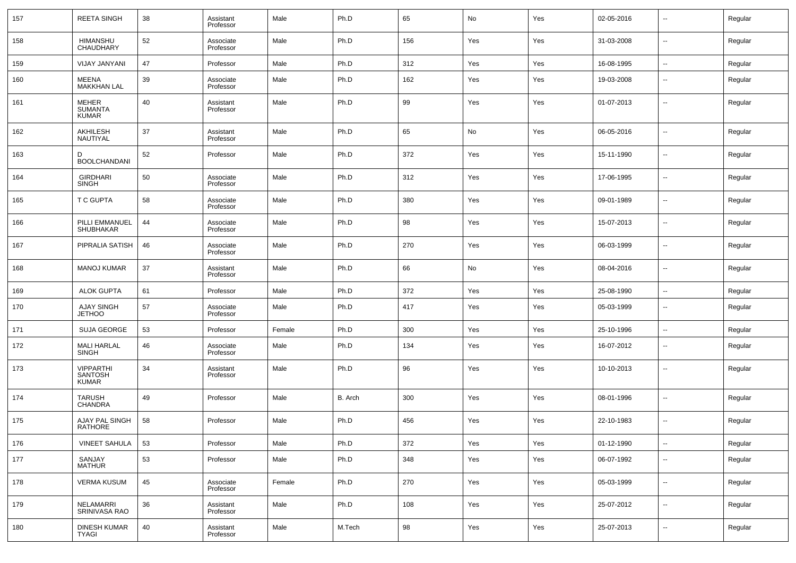| 157 | <b>REETA SINGH</b>                                 | 38 | Assistant<br>Professor | Male   | Ph.D    | 65  | No  | Yes | 02-05-2016 | $\overline{\phantom{a}}$ | Regular |
|-----|----------------------------------------------------|----|------------------------|--------|---------|-----|-----|-----|------------|--------------------------|---------|
| 158 | <b>HIMANSHU</b><br>CHAUDHARY                       | 52 | Associate<br>Professor | Male   | Ph.D    | 156 | Yes | Yes | 31-03-2008 | $\overline{\phantom{a}}$ | Regular |
| 159 | <b>VIJAY JANYANI</b>                               | 47 | Professor              | Male   | Ph.D    | 312 | Yes | Yes | 16-08-1995 | Щ,                       | Regular |
| 160 | MEENA<br><b>MAKKHAN LAL</b>                        | 39 | Associate<br>Professor | Male   | Ph.D    | 162 | Yes | Yes | 19-03-2008 | --                       | Regular |
| 161 | <b>MEHER</b><br><b>SUMANTA</b><br>KUMAR            | 40 | Assistant<br>Professor | Male   | Ph.D    | 99  | Yes | Yes | 01-07-2013 | --                       | Regular |
| 162 | AKHILESH<br>NAUTIYAL                               | 37 | Assistant<br>Professor | Male   | Ph.D    | 65  | No  | Yes | 06-05-2016 | $\overline{\phantom{a}}$ | Regular |
| 163 | D<br><b>BOOLCHANDANI</b>                           | 52 | Professor              | Male   | Ph.D    | 372 | Yes | Yes | 15-11-1990 | $\overline{\phantom{a}}$ | Regular |
| 164 | <b>GIRDHARI</b><br><b>SINGH</b>                    | 50 | Associate<br>Professor | Male   | Ph.D    | 312 | Yes | Yes | 17-06-1995 | $\overline{\phantom{a}}$ | Regular |
| 165 | <b>T C GUPTA</b>                                   | 58 | Associate<br>Professor | Male   | Ph.D    | 380 | Yes | Yes | 09-01-1989 | $\overline{\phantom{a}}$ | Regular |
| 166 | PILLI EMMANUEL<br><b>SHUBHAKAR</b>                 | 44 | Associate<br>Professor | Male   | Ph.D    | 98  | Yes | Yes | 15-07-2013 | $\overline{\phantom{a}}$ | Regular |
| 167 | PIPRALIA SATISH                                    | 46 | Associate<br>Professor | Male   | Ph.D    | 270 | Yes | Yes | 06-03-1999 | $\overline{\phantom{a}}$ | Regular |
| 168 | <b>MANOJ KUMAR</b>                                 | 37 | Assistant<br>Professor | Male   | Ph.D    | 66  | No  | Yes | 08-04-2016 | $\overline{\phantom{a}}$ | Regular |
| 169 | <b>ALOK GUPTA</b>                                  | 61 | Professor              | Male   | Ph.D    | 372 | Yes | Yes | 25-08-1990 | $\overline{\phantom{a}}$ | Regular |
| 170 | <b>AJAY SINGH</b><br><b>JETHOO</b>                 | 57 | Associate<br>Professor | Male   | Ph.D    | 417 | Yes | Yes | 05-03-1999 | --                       | Regular |
| 171 | <b>SUJA GEORGE</b>                                 | 53 | Professor              | Female | Ph.D    | 300 | Yes | Yes | 25-10-1996 | $\overline{\phantom{a}}$ | Regular |
| 172 | MALI HARLAL<br>SINGH                               | 46 | Associate<br>Professor | Male   | Ph.D    | 134 | Yes | Yes | 16-07-2012 | ۰.                       | Regular |
| 173 | <b>VIPPARTHI</b><br><b>SANTOSH</b><br><b>KUMAR</b> | 34 | Assistant<br>Professor | Male   | Ph.D    | 96  | Yes | Yes | 10-10-2013 | --                       | Regular |
| 174 | <b>TARUSH</b><br>CHANDRA                           | 49 | Professor              | Male   | B. Arch | 300 | Yes | Yes | 08-01-1996 | --                       | Regular |
| 175 | AJAY PAL SINGH<br><b>RATHORE</b>                   | 58 | Professor              | Male   | Ph.D    | 456 | Yes | Yes | 22-10-1983 | --                       | Regular |
| 176 | <b>VINEET SAHULA</b>                               | 53 | Professor              | Male   | Ph.D    | 372 | Yes | Yes | 01-12-1990 | ۰.                       | Regular |
| 177 | SANJAY<br>MATHUR                                   | 53 | Professor              | Male   | Ph.D    | 348 | Yes | Yes | 06-07-1992 | Щ,                       | Regular |
| 178 | <b>VERMA KUSUM</b>                                 | 45 | Associate<br>Professor | Female | Ph.D    | 270 | Yes | Yes | 05-03-1999 | Щ,                       | Regular |
| 179 | NELAMARRI<br>SRINIVASA RAO                         | 36 | Assistant<br>Professor | Male   | Ph.D    | 108 | Yes | Yes | 25-07-2012 | Щ,                       | Regular |
| 180 | DINESH KUMAR<br>TYAGI                              | 40 | Assistant<br>Professor | Male   | M.Tech  | 98  | Yes | Yes | 25-07-2013 | $\overline{\phantom{a}}$ | Regular |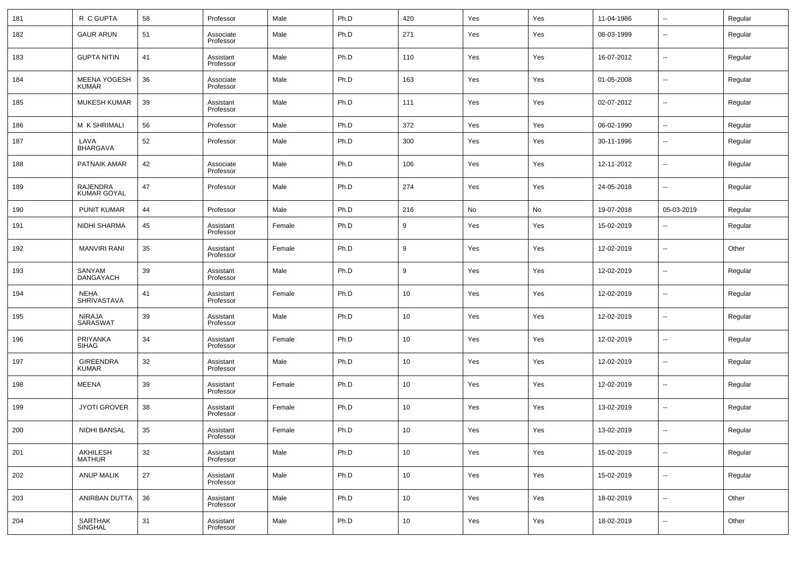| 181 | R C GUPTA                             | 58 | Professor              | Male   | Ph.D | 420 | Yes | Yes | 11-04-1986 | $\overline{\phantom{a}}$ | Regular |
|-----|---------------------------------------|----|------------------------|--------|------|-----|-----|-----|------------|--------------------------|---------|
| 182 | <b>GAUR ARUN</b>                      | 51 | Associate<br>Professor | Male   | Ph.D | 271 | Yes | Yes | 08-03-1999 | $\overline{\phantom{a}}$ | Regular |
| 183 | <b>GUPTA NITIN</b>                    | 41 | Assistant<br>Professor | Male   | Ph.D | 110 | Yes | Yes | 16-07-2012 | $\overline{\phantom{a}}$ | Regular |
| 184 | <b>MEENA YOGESH</b><br><b>KUMAR</b>   | 36 | Associate<br>Professor | Male   | Ph.D | 163 | Yes | Yes | 01-05-2008 | $\overline{\phantom{a}}$ | Regular |
| 185 | <b>MUKESH KUMAR</b>                   | 39 | Assistant<br>Professor | Male   | Ph.D | 111 | Yes | Yes | 02-07-2012 | $\overline{\phantom{a}}$ | Regular |
| 186 | M K SHRIMALI                          | 56 | Professor              | Male   | Ph.D | 372 | Yes | Yes | 06-02-1990 | $\overline{\phantom{a}}$ | Regular |
| 187 | LAVA<br><b>BHARGAVA</b>               | 52 | Professor              | Male   | Ph.D | 300 | Yes | Yes | 30-11-1996 | $\overline{\phantom{a}}$ | Regular |
| 188 | PATNAIK AMAR                          | 42 | Associate<br>Professor | Male   | Ph.D | 106 | Yes | Yes | 12-11-2012 | $\overline{\phantom{a}}$ | Regular |
| 189 | <b>RAJENDRA</b><br><b>KUMAR GOYAL</b> | 47 | Professor              | Male   | Ph.D | 274 | Yes | Yes | 24-05-2018 | $\overline{\phantom{a}}$ | Regular |
| 190 | <b>PUNIT KUMAR</b>                    | 44 | Professor              | Male   | Ph.D | 216 | No  | No  | 19-07-2018 | 05-03-2019               | Regular |
| 191 | NIDHI SHARMA                          | 45 | Assistant<br>Professor | Female | Ph.D | 9   | Yes | Yes | 15-02-2019 | $\overline{\phantom{a}}$ | Regular |
| 192 | <b>MANVIRI RANI</b>                   | 35 | Assistant<br>Professor | Female | Ph.D | 9   | Yes | Yes | 12-02-2019 | $\overline{\phantom{a}}$ | Other   |
| 193 | SANYAM<br><b>DANGAYACH</b>            | 39 | Assistant<br>Professor | Male   | Ph.D | 9   | Yes | Yes | 12-02-2019 | $\overline{\phantom{a}}$ | Regular |
| 194 | NEHA<br>SHRIVASTAVA                   | 41 | Assistant<br>Professor | Female | Ph.D | 10  | Yes | Yes | 12-02-2019 | $\overline{\phantom{a}}$ | Regular |
| 195 | <b>NIRAJA</b><br>SARASWAT             | 39 | Assistant<br>Professor | Male   | Ph.D | 10  | Yes | Yes | 12-02-2019 | $\overline{\phantom{a}}$ | Regular |
| 196 | PRIYANKA<br><b>SIHAG</b>              | 34 | Assistant<br>Professor | Female | Ph.D | 10  | Yes | Yes | 12-02-2019 | $\overline{\phantom{a}}$ | Regular |
| 197 | <b>GIREENDRA</b><br><b>KUMAR</b>      | 32 | Assistant<br>Professor | Male   | Ph.D | 10  | Yes | Yes | 12-02-2019 | $\overline{\phantom{a}}$ | Regular |
| 198 | MEENA                                 | 39 | Assistant<br>Professor | Female | Ph.D | 10  | Yes | Yes | 12-02-2019 | $\overline{\phantom{a}}$ | Regular |
| 199 | <b>JYOTI GROVER</b>                   | 38 | Assistant<br>Professor | Female | Ph.D | 10  | Yes | Yes | 13-02-2019 | $\overline{\phantom{a}}$ | Regular |
| 200 | NIDHI BANSAL                          | 35 | Assistant<br>Professor | Female | Ph.D | 10  | Yes | Yes | 13-02-2019 | $\overline{\phantom{a}}$ | Regular |
| 201 | AKHILESH<br><b>MATHUR</b>             | 32 | Assistant<br>Professor | Male   | Ph.D | 10  | Yes | Yes | 15-02-2019 | $\overline{\phantom{a}}$ | Regular |
| 202 | ANUP MALIK                            | 27 | Assistant<br>Professor | Male   | Ph.D | 10  | Yes | Yes | 15-02-2019 | $\overline{\phantom{a}}$ | Regular |
| 203 | ANIRBAN DUTTA                         | 36 | Assistant<br>Professor | Male   | Ph.D | 10  | Yes | Yes | 18-02-2019 | $\overline{\phantom{a}}$ | Other   |
| 204 | SARTHAK<br>SINGHAL                    | 31 | Assistant<br>Professor | Male   | Ph.D | 10  | Yes | Yes | 18-02-2019 | $\overline{\phantom{a}}$ | Other   |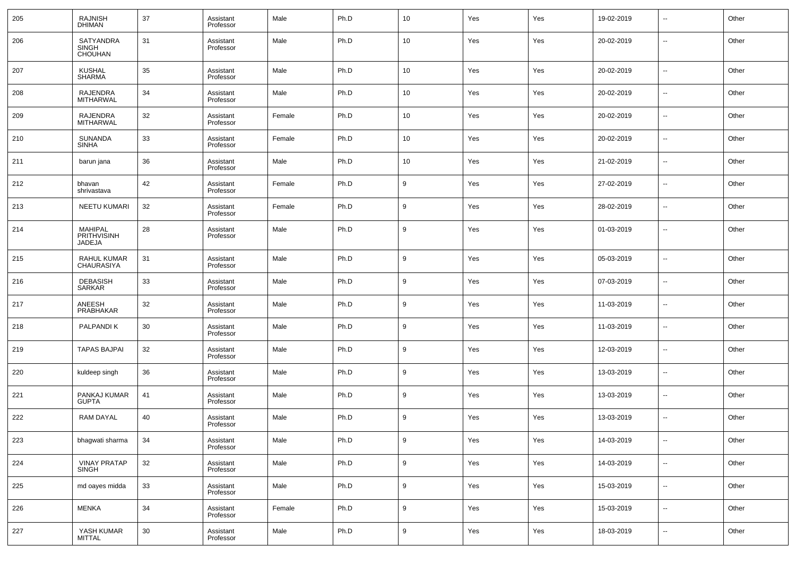| 205 | RAJNISH<br>DHIMAN                                  | 37 | Assistant<br>Professor | Male   | Ph.D | 10 <sub>1</sub>  | Yes | Yes | 19-02-2019 | $\overline{\phantom{a}}$ | Other |
|-----|----------------------------------------------------|----|------------------------|--------|------|------------------|-----|-----|------------|--------------------------|-------|
| 206 | <b>SATYANDRA</b><br><b>SINGH</b><br><b>CHOUHAN</b> | 31 | Assistant<br>Professor | Male   | Ph.D | 10 <sup>°</sup>  | Yes | Yes | 20-02-2019 | $\overline{\phantom{a}}$ | Other |
| 207 | <b>KUSHAL</b><br><b>SHARMA</b>                     | 35 | Assistant<br>Professor | Male   | Ph.D | 10 <sup>°</sup>  | Yes | Yes | 20-02-2019 | $\overline{\phantom{a}}$ | Other |
| 208 | RAJENDRA<br><b>MITHARWAL</b>                       | 34 | Assistant<br>Professor | Male   | Ph.D | 10 <sup>°</sup>  | Yes | Yes | 20-02-2019 | $\overline{\phantom{a}}$ | Other |
| 209 | RAJENDRA<br><b>MITHARWAL</b>                       | 32 | Assistant<br>Professor | Female | Ph.D | 10 <sup>°</sup>  | Yes | Yes | 20-02-2019 | $\overline{\phantom{a}}$ | Other |
| 210 | SUNANDA<br><b>SINHA</b>                            | 33 | Assistant<br>Professor | Female | Ph.D | 10 <sup>°</sup>  | Yes | Yes | 20-02-2019 | $\overline{\phantom{a}}$ | Other |
| 211 | barun jana                                         | 36 | Assistant<br>Professor | Male   | Ph.D | 10 <sup>°</sup>  | Yes | Yes | 21-02-2019 | $\overline{\phantom{a}}$ | Other |
| 212 | bhavan<br>shrivastava                              | 42 | Assistant<br>Professor | Female | Ph.D | 9                | Yes | Yes | 27-02-2019 | $\overline{\phantom{a}}$ | Other |
| 213 | NEETU KUMARI                                       | 32 | Assistant<br>Professor | Female | Ph.D | 9                | Yes | Yes | 28-02-2019 | $\overline{\phantom{a}}$ | Other |
| 214 | MAHIPAL<br>PRITHVISINH<br>JADEJA                   | 28 | Assistant<br>Professor | Male   | Ph.D | 9                | Yes | Yes | 01-03-2019 | $\overline{\phantom{a}}$ | Other |
| 215 | RAHUL KUMAR<br><b>CHAURASIYA</b>                   | 31 | Assistant<br>Professor | Male   | Ph.D | 9                | Yes | Yes | 05-03-2019 | ш.                       | Other |
| 216 | <b>DEBASISH</b><br><b>SARKAR</b>                   | 33 | Assistant<br>Professor | Male   | Ph.D | 9                | Yes | Yes | 07-03-2019 | --                       | Other |
| 217 | ANEESH<br>PRABHAKAR                                | 32 | Assistant<br>Professor | Male   | Ph.D | 9                | Yes | Yes | 11-03-2019 | --                       | Other |
| 218 | PALPANDI K                                         | 30 | Assistant<br>Professor | Male   | Ph.D | 9                | Yes | Yes | 11-03-2019 | --                       | Other |
| 219 | <b>TAPAS BAJPAI</b>                                | 32 | Assistant<br>Professor | Male   | Ph.D | 9                | Yes | Yes | 12-03-2019 | --                       | Other |
| 220 | kuldeep singh                                      | 36 | Assistant<br>Professor | Male   | Ph.D | 9                | Yes | Yes | 13-03-2019 | --                       | Other |
| 221 | PANKAJ KUMAR<br><b>GUPTA</b>                       | 41 | Assistant<br>Professor | Male   | Ph.D | 9                | Yes | Yes | 13-03-2019 | --                       | Other |
| 222 | <b>RAM DAYAL</b>                                   | 40 | Assistant<br>Professor | Male   | Ph.D | 9                | Yes | Yes | 13-03-2019 | --                       | Other |
| 223 | bhagwati sharma                                    | 34 | Assistant<br>Professor | Male   | Ph.D | $\boldsymbol{9}$ | Yes | Yes | 14-03-2019 | $\overline{\phantom{a}}$ | Other |
| 224 | <b>VINAY PRATAP</b><br>SINGH                       | 32 | Assistant<br>Professor | Male   | Ph.D | $9\,$            | Yes | Yes | 14-03-2019 | ٠.                       | Other |
| 225 | md oayes midda                                     | 33 | Assistant<br>Professor | Male   | Ph.D | $9\,$            | Yes | Yes | 15-03-2019 | ٠.                       | Other |
| 226 | <b>MENKA</b>                                       | 34 | Assistant<br>Professor | Female | Ph.D | $\boldsymbol{9}$ | Yes | Yes | 15-03-2019 | ٠.                       | Other |
| 227 | YASH KUMAR<br>MITTAL                               | 30 | Assistant<br>Professor | Male   | Ph.D | $\boldsymbol{9}$ | Yes | Yes | 18-03-2019 | $\overline{\phantom{a}}$ | Other |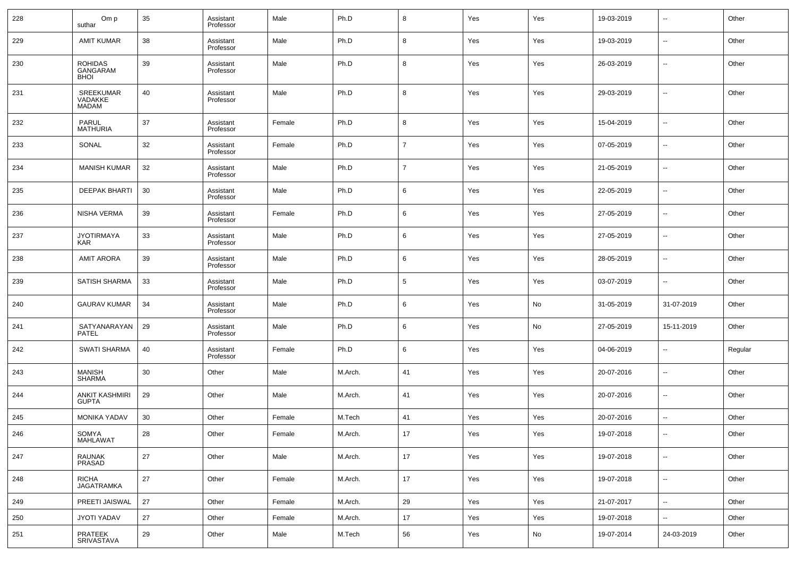| 228 | Om p<br>suthar                            | 35 | Assistant<br>Professor | Male   | Ph.D    | 8               | Yes | Yes                          | 19-03-2019 | $\sim$                   | Other   |
|-----|-------------------------------------------|----|------------------------|--------|---------|-----------------|-----|------------------------------|------------|--------------------------|---------|
| 229 | <b>AMIT KUMAR</b>                         | 38 | Assistant<br>Professor | Male   | Ph.D    | 8               | Yes | Yes                          | 19-03-2019 | $\sim$                   | Other   |
| 230 | <b>ROHIDAS</b><br>GANGARAM<br><b>BHOI</b> | 39 | Assistant<br>Professor | Male   | Ph.D    | 8               | Yes | Yes                          | 26-03-2019 | $\sim$                   | Other   |
| 231 | SREEKUMAR<br>VADAKKE<br><b>MADAM</b>      | 40 | Assistant<br>Professor | Male   | Ph.D    | 8               | Yes | Yes                          | 29-03-2019 | --                       | Other   |
| 232 | PARUL<br><b>MATHURIA</b>                  | 37 | Assistant<br>Professor | Female | Ph.D    | 8               | Yes | Yes                          | 15-04-2019 | --                       | Other   |
| 233 | SONAL                                     | 32 | Assistant<br>Professor | Female | Ph.D    | $\overline{7}$  | Yes | Yes                          | 07-05-2019 | --                       | Other   |
| 234 | <b>MANISH KUMAR</b>                       | 32 | Assistant<br>Professor | Male   | Ph.D    | $\overline{7}$  | Yes | Yes                          | 21-05-2019 | --                       | Other   |
| 235 | <b>DEEPAK BHARTI</b>                      | 30 | Assistant<br>Professor | Male   | Ph.D    | 6               | Yes | Yes                          | 22-05-2019 | --                       | Other   |
| 236 | NISHA VERMA                               | 39 | Assistant<br>Professor | Female | Ph.D    | 6               | Yes | Yes                          | 27-05-2019 | --                       | Other   |
| 237 | <b>JYOTIRMAYA</b><br><b>KAR</b>           | 33 | Assistant<br>Professor | Male   | Ph.D    | 6               | Yes | Yes                          | 27-05-2019 | --                       | Other   |
| 238 | <b>AMIT ARORA</b>                         | 39 | Assistant<br>Professor | Male   | Ph.D    | 6               | Yes | Yes                          | 28-05-2019 | --                       | Other   |
| 239 | SATISH SHARMA                             | 33 | Assistant<br>Professor | Male   | Ph.D    | $5\phantom{.0}$ | Yes | Yes                          | 03-07-2019 | --                       | Other   |
| 240 | <b>GAURAV KUMAR</b>                       | 34 | Assistant<br>Professor | Male   | Ph.D    | 6               | Yes | No                           | 31-05-2019 | 31-07-2019               | Other   |
| 241 | SATYANARAYAN<br>PATEL                     | 29 | Assistant<br>Professor | Male   | Ph.D    | 6               | Yes | No                           | 27-05-2019 | 15-11-2019               | Other   |
| 242 | <b>SWATI SHARMA</b>                       | 40 | Assistant<br>Professor | Female | Ph.D    | 6               | Yes | Yes                          | 04-06-2019 | --                       | Regular |
| 243 | <b>MANISH</b><br><b>SHARMA</b>            | 30 | Other                  | Male   | M.Arch. | 41              | Yes | Yes                          | 20-07-2016 | --                       | Other   |
| 244 | <b>ANKIT KASHMIRI</b><br><b>GUPTA</b>     | 29 | Other                  | Male   | M.Arch. | 41              | Yes | Yes                          | 20-07-2016 | --                       | Other   |
| 245 | <b>MONIKA YADAV</b>                       | 30 | Other                  | Female | M.Tech  | 41              | Yes | Yes                          | 20-07-2016 | ш,                       | Other   |
| 246 | SOMYA<br>MAHLAWAT                         | 28 | Other                  | Female | M.Arch. | 17              | Yes | Yes                          | 19-07-2018 |                          | Other   |
| 247 | RAUNAK<br>PRASAD                          | 27 | Other                  | Male   | M.Arch. | 17              | Yes | Yes                          | 19-07-2018 | $\overline{\phantom{a}}$ | Other   |
| 248 | RICHA<br>JAGATRAMKA                       | 27 | Other                  | Female | M.Arch. | 17              | Yes | Yes                          | 19-07-2018 | $\overline{\phantom{a}}$ | Other   |
| 249 | PREETI JAISWAL                            | 27 | Other                  | Female | M.Arch. | 29              | Yes | Yes                          | 21-07-2017 | $\overline{\phantom{a}}$ | Other   |
| 250 | JYOTI YADAV                               | 27 | Other                  | Female | M.Arch. | $17\,$          | Yes | Yes                          | 19-07-2018 | $\overline{\phantom{a}}$ | Other   |
| 251 | PRATEEK<br>SRIVASTAVA                     | 29 | Other                  | Male   | M.Tech  | 56              | Yes | $\operatorname{\mathsf{No}}$ | 19-07-2014 | 24-03-2019               | Other   |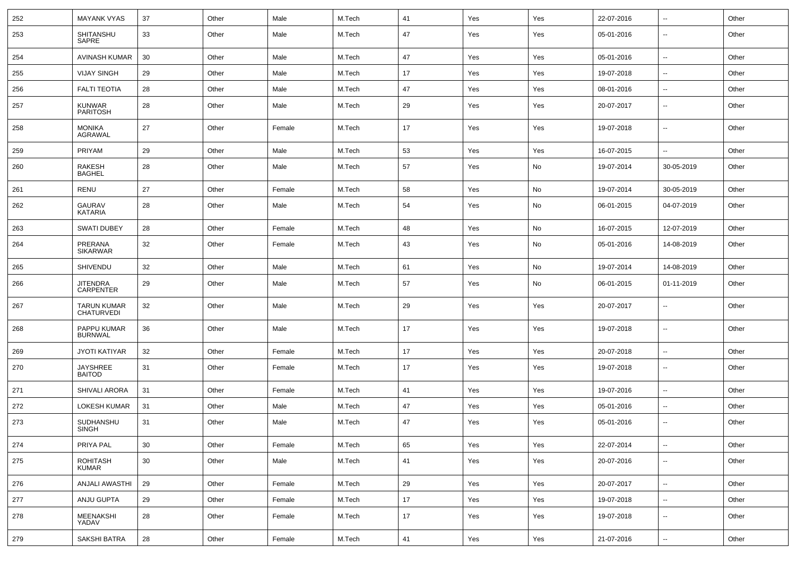| 252 | <b>MAYANK VYAS</b>               | 37 | Other | Male   | M.Tech | 41 | Yes | Yes | 22-07-2016 | --                       | Other |
|-----|----------------------------------|----|-------|--------|--------|----|-----|-----|------------|--------------------------|-------|
| 253 | SHITANSHU<br>SAPRE               | 33 | Other | Male   | M.Tech | 47 | Yes | Yes | 05-01-2016 | $\overline{\phantom{a}}$ | Other |
| 254 | <b>AVINASH KUMAR</b>             | 30 | Other | Male   | M.Tech | 47 | Yes | Yes | 05-01-2016 | $\overline{\phantom{a}}$ | Other |
| 255 | <b>VIJAY SINGH</b>               | 29 | Other | Male   | M.Tech | 17 | Yes | Yes | 19-07-2018 | $\overline{\phantom{a}}$ | Other |
| 256 | <b>FALTI TEOTIA</b>              | 28 | Other | Male   | M.Tech | 47 | Yes | Yes | 08-01-2016 | $\overline{\phantom{a}}$ | Other |
| 257 | <b>KUNWAR</b><br><b>PARITOSH</b> | 28 | Other | Male   | M.Tech | 29 | Yes | Yes | 20-07-2017 | $\overline{\phantom{a}}$ | Other |
| 258 | <b>MONIKA</b><br>AGRAWAL         | 27 | Other | Female | M.Tech | 17 | Yes | Yes | 19-07-2018 | $\overline{\phantom{a}}$ | Other |
| 259 | PRIYAM                           | 29 | Other | Male   | M.Tech | 53 | Yes | Yes | 16-07-2015 | ۰.                       | Other |
| 260 | RAKESH<br><b>BAGHEL</b>          | 28 | Other | Male   | M.Tech | 57 | Yes | No  | 19-07-2014 | 30-05-2019               | Other |
| 261 | <b>RENU</b>                      | 27 | Other | Female | M.Tech | 58 | Yes | No  | 19-07-2014 | 30-05-2019               | Other |
| 262 | <b>GAURAV</b><br><b>KATARIA</b>  | 28 | Other | Male   | M.Tech | 54 | Yes | No  | 06-01-2015 | 04-07-2019               | Other |
| 263 | <b>SWATI DUBEY</b>               | 28 | Other | Female | M.Tech | 48 | Yes | No  | 16-07-2015 | 12-07-2019               | Other |
| 264 | PRERANA<br><b>SIKARWAR</b>       | 32 | Other | Female | M.Tech | 43 | Yes | No  | 05-01-2016 | 14-08-2019               | Other |
| 265 | SHIVENDU                         | 32 | Other | Male   | M.Tech | 61 | Yes | No  | 19-07-2014 | 14-08-2019               | Other |
| 266 | JITENDRA<br>CARPENTER            | 29 | Other | Male   | M.Tech | 57 | Yes | No  | 06-01-2015 | 01-11-2019               | Other |
| 267 | TARUN KUMAR<br>CHATURVEDI        | 32 | Other | Male   | M.Tech | 29 | Yes | Yes | 20-07-2017 | $\overline{\phantom{a}}$ | Other |
| 268 | PAPPU KUMAR<br><b>BURNWAL</b>    | 36 | Other | Male   | M.Tech | 17 | Yes | Yes | 19-07-2018 | $\overline{\phantom{a}}$ | Other |
| 269 | <b>JYOTI KATIYAR</b>             | 32 | Other | Female | M.Tech | 17 | Yes | Yes | 20-07-2018 | $\overline{\phantom{a}}$ | Other |
| 270 | <b>JAYSHREE</b><br><b>BAITOD</b> | 31 | Other | Female | M.Tech | 17 | Yes | Yes | 19-07-2018 | $\overline{\phantom{a}}$ | Other |
| 271 | <b>SHIVALI ARORA</b>             | 31 | Other | Female | M.Tech | 41 | Yes | Yes | 19-07-2016 | $\overline{\phantom{a}}$ | Other |
| 272 | LOKESH KUMAR                     | 31 | Other | Male   | M.Tech | 47 | Yes | Yes | 05-01-2016 | $\overline{\phantom{a}}$ | Other |
| 273 | SUDHANSHU<br>SINGH               | 31 | Other | Male   | M.Tech | 47 | Yes | Yes | 05-01-2016 | $\overline{\phantom{a}}$ | Other |
| 274 | PRIYA PAL                        | 30 | Other | Female | M.Tech | 65 | Yes | Yes | 22-07-2014 | $\overline{\phantom{a}}$ | Other |
| 275 | ROHITASH<br><b>KUMAR</b>         | 30 | Other | Male   | M.Tech | 41 | Yes | Yes | 20-07-2016 | $\overline{\phantom{a}}$ | Other |
| 276 | ANJALI AWASTHI                   | 29 | Other | Female | M.Tech | 29 | Yes | Yes | 20-07-2017 | $\overline{\phantom{a}}$ | Other |
| 277 | ANJU GUPTA                       | 29 | Other | Female | M.Tech | 17 | Yes | Yes | 19-07-2018 | $\overline{\phantom{a}}$ | Other |
| 278 | MEENAKSHI<br>YADAV               | 28 | Other | Female | M.Tech | 17 | Yes | Yes | 19-07-2018 | $\overline{\phantom{a}}$ | Other |
| 279 | <b>SAKSHI BATRA</b>              | 28 | Other | Female | M.Tech | 41 | Yes | Yes | 21-07-2016 | $\overline{\phantom{a}}$ | Other |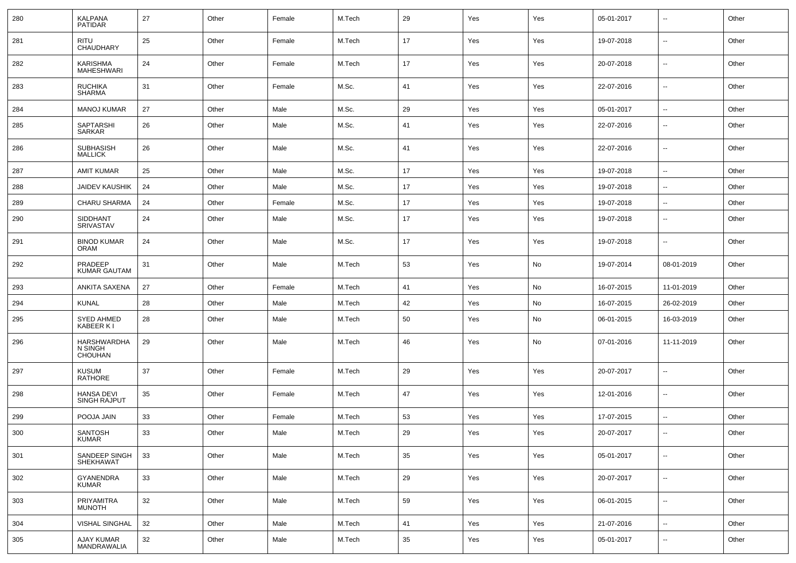| 280 | <b>KALPANA</b><br><b>PATIDAR</b>   | 27 | Other | Female | M.Tech | 29     | Yes | Yes | 05-01-2017 | $\overline{\phantom{a}}$ | Other |
|-----|------------------------------------|----|-------|--------|--------|--------|-----|-----|------------|--------------------------|-------|
| 281 | <b>RITU</b><br>CHAUDHARY           | 25 | Other | Female | M.Tech | 17     | Yes | Yes | 19-07-2018 | $\overline{\phantom{a}}$ | Other |
| 282 | KARISHMA<br>MAHESHWARI             | 24 | Other | Female | M.Tech | 17     | Yes | Yes | 20-07-2018 | $\overline{\phantom{a}}$ | Other |
| 283 | RUCHIKA<br>SHARMA                  | 31 | Other | Female | M.Sc.  | 41     | Yes | Yes | 22-07-2016 | $\overline{\phantom{a}}$ | Other |
| 284 | <b>MANOJ KUMAR</b>                 | 27 | Other | Male   | M.Sc.  | 29     | Yes | Yes | 05-01-2017 | $\overline{\phantom{a}}$ | Other |
| 285 | SAPTARSHI<br>SARKAR                | 26 | Other | Male   | M.Sc.  | 41     | Yes | Yes | 22-07-2016 | $\overline{\phantom{a}}$ | Other |
| 286 | <b>SUBHASISH</b><br><b>MALLICK</b> | 26 | Other | Male   | M.Sc.  | 41     | Yes | Yes | 22-07-2016 | $\overline{\phantom{a}}$ | Other |
| 287 | <b>AMIT KUMAR</b>                  | 25 | Other | Male   | M.Sc.  | 17     | Yes | Yes | 19-07-2018 | $\overline{\phantom{a}}$ | Other |
| 288 | <b>JAIDEV KAUSHIK</b>              | 24 | Other | Male   | M.Sc.  | 17     | Yes | Yes | 19-07-2018 | $\overline{\phantom{a}}$ | Other |
| 289 | <b>CHARU SHARMA</b>                | 24 | Other | Female | M.Sc.  | 17     | Yes | Yes | 19-07-2018 | $\overline{\phantom{a}}$ | Other |
| 290 | SIDDHANT<br><b>SRIVASTAV</b>       | 24 | Other | Male   | M.Sc.  | 17     | Yes | Yes | 19-07-2018 | $\overline{\phantom{a}}$ | Other |
| 291 | <b>BINOD KUMAR</b><br><b>ORAM</b>  | 24 | Other | Male   | M.Sc.  | 17     | Yes | Yes | 19-07-2018 | $\overline{\phantom{a}}$ | Other |
| 292 | PRADEEP<br><b>KUMAR GAUTAM</b>     | 31 | Other | Male   | M.Tech | 53     | Yes | No  | 19-07-2014 | 08-01-2019               | Other |
| 293 | ANKITA SAXENA                      | 27 | Other | Female | M.Tech | 41     | Yes | No  | 16-07-2015 | 11-01-2019               | Other |
| 294 | <b>KUNAL</b>                       | 28 | Other | Male   | M.Tech | 42     | Yes | No  | 16-07-2015 | 26-02-2019               | Other |
| 295 | <b>SYED AHMED</b><br>KABEER KI     | 28 | Other | Male   | M.Tech | 50     | Yes | No  | 06-01-2015 | 16-03-2019               | Other |
| 296 | HARSHWARDHA<br>N SINGH<br>CHOUHAN  | 29 | Other | Male   | M.Tech | 46     | Yes | No  | 07-01-2016 | 11-11-2019               | Other |
| 297 | <b>KUSUM</b><br><b>RATHORE</b>     | 37 | Other | Female | M.Tech | 29     | Yes | Yes | 20-07-2017 | $\sim$                   | Other |
| 298 | <b>HANSA DEVI</b><br>SINGH RAJPUT  | 35 | Other | Female | M.Tech | 47     | Yes | Yes | 12-01-2016 | $\overline{\phantom{a}}$ | Other |
| 299 | POOJA JAIN                         | 33 | Other | Female | M.Tech | 53     | Yes | Yes | 17-07-2015 | $\overline{\phantom{a}}$ | Other |
| 300 | SANTOSH<br><b>KUMAR</b>            | 33 | Other | Male   | M.Tech | 29     | Yes | Yes | 20-07-2017 | $\overline{\phantom{a}}$ | Other |
| 301 | SANDEEP SINGH<br>SHEKHAWAT         | 33 | Other | Male   | M.Tech | 35     | Yes | Yes | 05-01-2017 | $\overline{\phantom{a}}$ | Other |
| 302 | GYANENDRA<br><b>KUMAR</b>          | 33 | Other | Male   | M.Tech | 29     | Yes | Yes | 20-07-2017 | $\overline{\phantom{a}}$ | Other |
| 303 | PRIYAMITRA<br><b>MUNOTH</b>        | 32 | Other | Male   | M.Tech | 59     | Yes | Yes | 06-01-2015 | $\overline{\phantom{a}}$ | Other |
| 304 | VISHAL SINGHAL                     | 32 | Other | Male   | M.Tech | 41     | Yes | Yes | 21-07-2016 | $\overline{\phantom{a}}$ | Other |
| 305 | AJAY KUMAR<br>MANDRAWALIA          | 32 | Other | Male   | M.Tech | $35\,$ | Yes | Yes | 05-01-2017 | $\sim$                   | Other |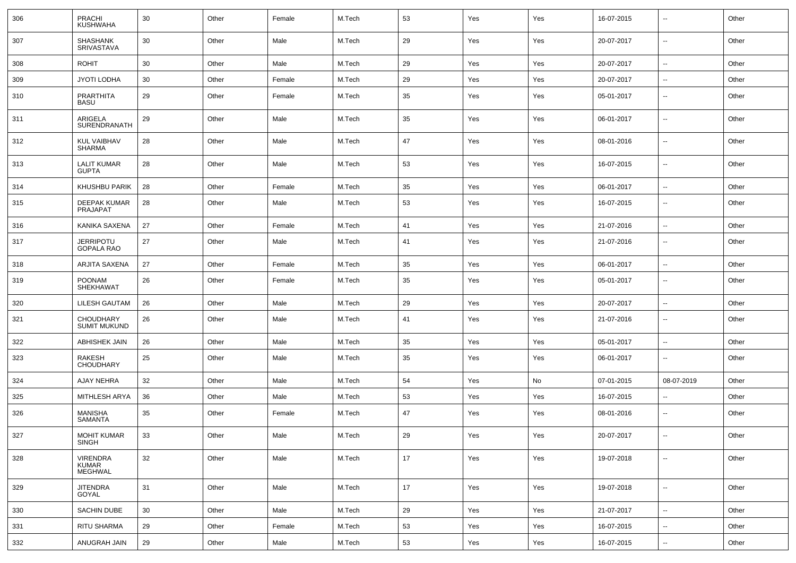| 306 | <b>PRACHI</b><br>KUSHWAHA               | 30 | Other | Female | M.Tech | 53 | Yes | Yes | 16-07-2015 | $\overline{\phantom{a}}$ | Other |
|-----|-----------------------------------------|----|-------|--------|--------|----|-----|-----|------------|--------------------------|-------|
| 307 | SHASHANK<br>SRIVASTAVA                  | 30 | Other | Male   | M.Tech | 29 | Yes | Yes | 20-07-2017 | $\overline{\phantom{a}}$ | Other |
| 308 | <b>ROHIT</b>                            | 30 | Other | Male   | M.Tech | 29 | Yes | Yes | 20-07-2017 | --                       | Other |
| 309 | JYOTI LODHA                             | 30 | Other | Female | M.Tech | 29 | Yes | Yes | 20-07-2017 | $\sim$                   | Other |
| 310 | PRARTHITA<br>BASU                       | 29 | Other | Female | M.Tech | 35 | Yes | Yes | 05-01-2017 | $\overline{\phantom{a}}$ | Other |
| 311 | ARIGELA<br>SURENDRANATH                 | 29 | Other | Male   | M.Tech | 35 | Yes | Yes | 06-01-2017 | $\sim$                   | Other |
| 312 | <b>KUL VAIBHAV</b><br><b>SHARMA</b>     | 28 | Other | Male   | M.Tech | 47 | Yes | Yes | 08-01-2016 | --                       | Other |
| 313 | <b>LALIT KUMAR</b><br><b>GUPTA</b>      | 28 | Other | Male   | M.Tech | 53 | Yes | Yes | 16-07-2015 | ÷.                       | Other |
| 314 | KHUSHBU PARIK                           | 28 | Other | Female | M.Tech | 35 | Yes | Yes | 06-01-2017 | $\overline{\phantom{a}}$ | Other |
| 315 | <b>DEEPAK KUMAR</b><br>PRAJAPAT         | 28 | Other | Male   | M.Tech | 53 | Yes | Yes | 16-07-2015 | --                       | Other |
| 316 | KANIKA SAXENA                           | 27 | Other | Female | M.Tech | 41 | Yes | Yes | 21-07-2016 | --                       | Other |
| 317 | <b>JERRIPOTU</b><br><b>GOPALA RAO</b>   | 27 | Other | Male   | M.Tech | 41 | Yes | Yes | 21-07-2016 | --                       | Other |
| 318 | ARJITA SAXENA                           | 27 | Other | Female | M.Tech | 35 | Yes | Yes | 06-01-2017 | $\overline{\phantom{a}}$ | Other |
| 319 | <b>POONAM</b><br>SHEKHAWAT              | 26 | Other | Female | M.Tech | 35 | Yes | Yes | 05-01-2017 | --                       | Other |
| 320 | LILESH GAUTAM                           | 26 | Other | Male   | M.Tech | 29 | Yes | Yes | 20-07-2017 | --                       | Other |
| 321 | <b>CHOUDHARY</b><br><b>SUMIT MUKUND</b> | 26 | Other | Male   | M.Tech | 41 | Yes | Yes | 21-07-2016 | --                       | Other |
| 322 | <b>ABHISHEK JAIN</b>                    | 26 | Other | Male   | M.Tech | 35 | Yes | Yes | 05-01-2017 | $\overline{\phantom{a}}$ | Other |
| 323 | RAKESH<br><b>CHOUDHARY</b>              | 25 | Other | Male   | M.Tech | 35 | Yes | Yes | 06-01-2017 | $\overline{\phantom{a}}$ | Other |
| 324 | AJAY NEHRA                              | 32 | Other | Male   | M.Tech | 54 | Yes | No  | 07-01-2015 | 08-07-2019               | Other |
| 325 | MITHLESH ARYA                           | 36 | Other | Male   | M.Tech | 53 | Yes | Yes | 16-07-2015 | --                       | Other |
| 326 | MANISHA<br><b>SAMANTA</b>               | 35 | Other | Female | M.Tech | 47 | Yes | Yes | 08-01-2016 | --                       | Other |
| 327 | <b>MOHIT KUMAR</b><br>SINGH             | 33 | Other | Male   | M.Tech | 29 | Yes | Yes | 20-07-2017 | $\overline{\phantom{a}}$ | Other |
| 328 | VIRENDRA<br>KUMAR<br>MEGHWAL            | 32 | Other | Male   | M.Tech | 17 | Yes | Yes | 19-07-2018 | $\sim$                   | Other |
| 329 | JITENDRA<br>GOYAL                       | 31 | Other | Male   | M.Tech | 17 | Yes | Yes | 19-07-2018 | $\overline{\phantom{a}}$ | Other |
| 330 | SACHIN DUBE                             | 30 | Other | Male   | M.Tech | 29 | Yes | Yes | 21-07-2017 | н.                       | Other |
| 331 | RITU SHARMA                             | 29 | Other | Female | M.Tech | 53 | Yes | Yes | 16-07-2015 | ۰.                       | Other |
| 332 | ANUGRAH JAIN                            | 29 | Other | Male   | M.Tech | 53 | Yes | Yes | 16-07-2015 | ۰.                       | Other |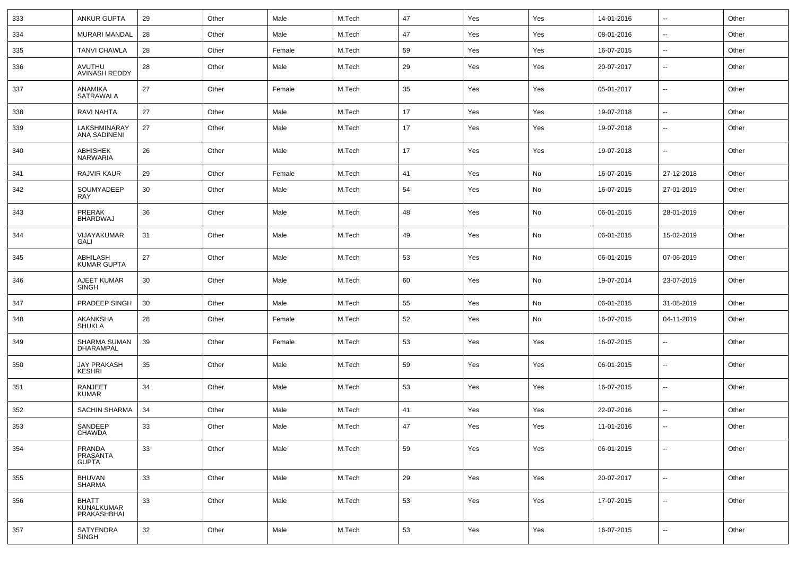| 333 | <b>ANKUR GUPTA</b>                        | 29 | Other | Male   | M.Tech | 47 | Yes | Yes | 14-01-2016 | $\overline{\phantom{a}}$ | Other |
|-----|-------------------------------------------|----|-------|--------|--------|----|-----|-----|------------|--------------------------|-------|
| 334 | MURARI MANDAL                             | 28 | Other | Male   | M.Tech | 47 | Yes | Yes | 08-01-2016 | $\sim$                   | Other |
| 335 | <b>TANVI CHAWLA</b>                       | 28 | Other | Female | M.Tech | 59 | Yes | Yes | 16-07-2015 | $\overline{\phantom{a}}$ | Other |
| 336 | AVUTHU<br><b>AVINASH REDDY</b>            | 28 | Other | Male   | M.Tech | 29 | Yes | Yes | 20-07-2017 | $\overline{\phantom{a}}$ | Other |
| 337 | ANAMIKA<br>SATRAWALA                      | 27 | Other | Female | M.Tech | 35 | Yes | Yes | 05-01-2017 | $\overline{\phantom{a}}$ | Other |
| 338 | <b>RAVI NAHTA</b>                         | 27 | Other | Male   | M.Tech | 17 | Yes | Yes | 19-07-2018 | $\overline{\phantom{a}}$ | Other |
| 339 | LAKSHMINARAY<br><b>ANA SADINENI</b>       | 27 | Other | Male   | M.Tech | 17 | Yes | Yes | 19-07-2018 | $\overline{\phantom{a}}$ | Other |
| 340 | ABHISHEK<br><b>NARWARIA</b>               | 26 | Other | Male   | M.Tech | 17 | Yes | Yes | 19-07-2018 | $\overline{\phantom{a}}$ | Other |
| 341 | <b>RAJVIR KAUR</b>                        | 29 | Other | Female | M.Tech | 41 | Yes | No  | 16-07-2015 | 27-12-2018               | Other |
| 342 | SOUMYADEEP<br><b>RAY</b>                  | 30 | Other | Male   | M.Tech | 54 | Yes | No  | 16-07-2015 | 27-01-2019               | Other |
| 343 | PRERAK<br><b>BHARDWAJ</b>                 | 36 | Other | Male   | M.Tech | 48 | Yes | No  | 06-01-2015 | 28-01-2019               | Other |
| 344 | VIJAYAKUMAR<br>GALI                       | 31 | Other | Male   | M.Tech | 49 | Yes | No  | 06-01-2015 | 15-02-2019               | Other |
| 345 | ABHILASH<br><b>KUMAR GUPTA</b>            | 27 | Other | Male   | M.Tech | 53 | Yes | No  | 06-01-2015 | 07-06-2019               | Other |
| 346 | AJEET KUMAR<br><b>SINGH</b>               | 30 | Other | Male   | M.Tech | 60 | Yes | No  | 19-07-2014 | 23-07-2019               | Other |
| 347 | PRADEEP SINGH                             | 30 | Other | Male   | M.Tech | 55 | Yes | No  | 06-01-2015 | 31-08-2019               | Other |
| 348 | AKANKSHA<br><b>SHUKLA</b>                 | 28 | Other | Female | M.Tech | 52 | Yes | No  | 16-07-2015 | 04-11-2019               | Other |
| 349 | SHARMA SUMAN<br>DHARAMPAL                 | 39 | Other | Female | M.Tech | 53 | Yes | Yes | 16-07-2015 | $\overline{\phantom{a}}$ | Other |
| 350 | <b>JAY PRAKASH</b><br><b>KESHRI</b>       | 35 | Other | Male   | M.Tech | 59 | Yes | Yes | 06-01-2015 | $\overline{\phantom{a}}$ | Other |
| 351 | <b>RANJEET</b><br><b>KUMAR</b>            | 34 | Other | Male   | M.Tech | 53 | Yes | Yes | 16-07-2015 | $\overline{\phantom{a}}$ | Other |
| 352 | <b>SACHIN SHARMA</b>                      | 34 | Other | Male   | M.Tech | 41 | Yes | Yes | 22-07-2016 | $\overline{\phantom{a}}$ | Other |
| 353 | SANDEEP<br>CHAWDA                         | 33 | Other | Male   | M.Tech | 47 | Yes | Yes | 11-01-2016 | $\overline{\phantom{a}}$ | Other |
| 354 | PRANDA<br>PRASANTA<br><b>GUPTA</b>        | 33 | Other | Male   | M.Tech | 59 | Yes | Yes | 06-01-2015 | $\overline{\phantom{a}}$ | Other |
| 355 | <b>BHUVAN</b><br>SHARMA                   | 33 | Other | Male   | M.Tech | 29 | Yes | Yes | 20-07-2017 | $\overline{\phantom{a}}$ | Other |
| 356 | <b>BHATT</b><br>KUNALKUMAR<br>PRAKASHBHAI | 33 | Other | Male   | M.Tech | 53 | Yes | Yes | 17-07-2015 | $\overline{\phantom{a}}$ | Other |
| 357 | SATYENDRA<br>SINGH                        | 32 | Other | Male   | M.Tech | 53 | Yes | Yes | 16-07-2015 | $\overline{\phantom{a}}$ | Other |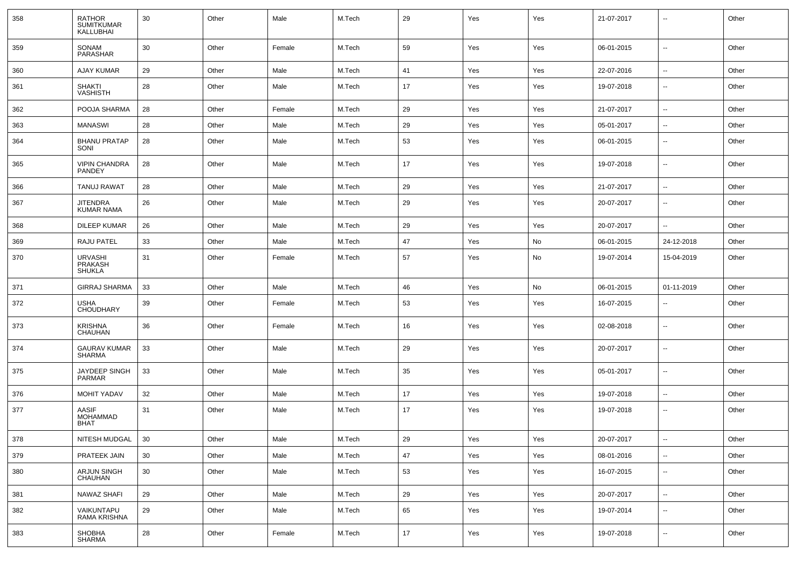| 358 | <b>RATHOR</b><br><b>SUMITKUMAR</b><br>KALLUBHAI | 30 | Other | Male   | M.Tech | 29 | Yes | Yes | 21-07-2017 | $\overline{\phantom{a}}$ | Other |
|-----|-------------------------------------------------|----|-------|--------|--------|----|-----|-----|------------|--------------------------|-------|
| 359 | <b>SONAM</b><br>PARASHAR                        | 30 | Other | Female | M.Tech | 59 | Yes | Yes | 06-01-2015 | $\overline{\phantom{a}}$ | Other |
| 360 | <b>AJAY KUMAR</b>                               | 29 | Other | Male   | M.Tech | 41 | Yes | Yes | 22-07-2016 | $\overline{\phantom{a}}$ | Other |
| 361 | <b>SHAKTI</b><br><b>VASHISTH</b>                | 28 | Other | Male   | M.Tech | 17 | Yes | Yes | 19-07-2018 | $\overline{\phantom{a}}$ | Other |
| 362 | POOJA SHARMA                                    | 28 | Other | Female | M.Tech | 29 | Yes | Yes | 21-07-2017 | $\overline{\phantom{a}}$ | Other |
| 363 | <b>MANASWI</b>                                  | 28 | Other | Male   | M.Tech | 29 | Yes | Yes | 05-01-2017 | $\overline{\phantom{a}}$ | Other |
| 364 | <b>BHANU PRATAP</b><br>SONI                     | 28 | Other | Male   | M.Tech | 53 | Yes | Yes | 06-01-2015 | $\overline{\phantom{a}}$ | Other |
| 365 | <b>VIPIN CHANDRA</b><br><b>PANDEY</b>           | 28 | Other | Male   | M.Tech | 17 | Yes | Yes | 19-07-2018 | $\overline{\phantom{a}}$ | Other |
| 366 | TANUJ RAWAT                                     | 28 | Other | Male   | M.Tech | 29 | Yes | Yes | 21-07-2017 | $\overline{\phantom{a}}$ | Other |
| 367 | <b>JITENDRA</b><br><b>KUMAR NAMA</b>            | 26 | Other | Male   | M.Tech | 29 | Yes | Yes | 20-07-2017 | $\overline{\phantom{a}}$ | Other |
| 368 | <b>DILEEP KUMAR</b>                             | 26 | Other | Male   | M.Tech | 29 | Yes | Yes | 20-07-2017 | $\overline{\phantom{a}}$ | Other |
| 369 | RAJU PATEL                                      | 33 | Other | Male   | M.Tech | 47 | Yes | No  | 06-01-2015 | 24-12-2018               | Other |
| 370 | <b>URVASHI</b><br>PRAKASH<br><b>SHUKLA</b>      | 31 | Other | Female | M.Tech | 57 | Yes | No  | 19-07-2014 | 15-04-2019               | Other |
| 371 | <b>GIRRAJ SHARMA</b>                            | 33 | Other | Male   | M.Tech | 46 | Yes | No  | 06-01-2015 | 01-11-2019               | Other |
| 372 | USHA<br><b>CHOUDHARY</b>                        | 39 | Other | Female | M.Tech | 53 | Yes | Yes | 16-07-2015 | $\overline{\phantom{a}}$ | Other |
| 373 | <b>KRISHNA</b><br>CHAUHAN                       | 36 | Other | Female | M.Tech | 16 | Yes | Yes | 02-08-2018 | $\overline{\phantom{a}}$ | Other |
| 374 | GAURAV KUMAR<br><b>SHARMA</b>                   | 33 | Other | Male   | M.Tech | 29 | Yes | Yes | 20-07-2017 | $\sim$                   | Other |
| 375 | JAYDEEP SINGH<br><b>PARMAR</b>                  | 33 | Other | Male   | M.Tech | 35 | Yes | Yes | 05-01-2017 | $\overline{\phantom{a}}$ | Other |
| 376 | <b>MOHIT YADAV</b>                              | 32 | Other | Male   | M.Tech | 17 | Yes | Yes | 19-07-2018 | $\overline{\phantom{a}}$ | Other |
| 377 | <b>AASIF</b><br><b>MOHAMMAD</b><br><b>BHAT</b>  | 31 | Other | Male   | M.Tech | 17 | Yes | Yes | 19-07-2018 | $\overline{\phantom{a}}$ | Other |
| 378 | NITESH MUDGAL                                   | 30 | Other | Male   | M.Tech | 29 | Yes | Yes | 20-07-2017 | $\overline{\phantom{a}}$ | Other |
| 379 | PRATEEK JAIN                                    | 30 | Other | Male   | M.Tech | 47 | Yes | Yes | 08-01-2016 | $\overline{\phantom{a}}$ | Other |
| 380 | ARJUN SINGH<br>CHAUHAN                          | 30 | Other | Male   | M.Tech | 53 | Yes | Yes | 16-07-2015 | $\sim$                   | Other |
| 381 | <b>NAWAZ SHAFI</b>                              | 29 | Other | Male   | M.Tech | 29 | Yes | Yes | 20-07-2017 | ۰.                       | Other |
| 382 | VAIKUNTAPU<br>RAMA KRISHNA                      | 29 | Other | Male   | M.Tech | 65 | Yes | Yes | 19-07-2014 | $\overline{\phantom{a}}$ | Other |
| 383 | SHOBHA<br>SHARMA                                | 28 | Other | Female | M.Tech | 17 | Yes | Yes | 19-07-2018 | ۰.                       | Other |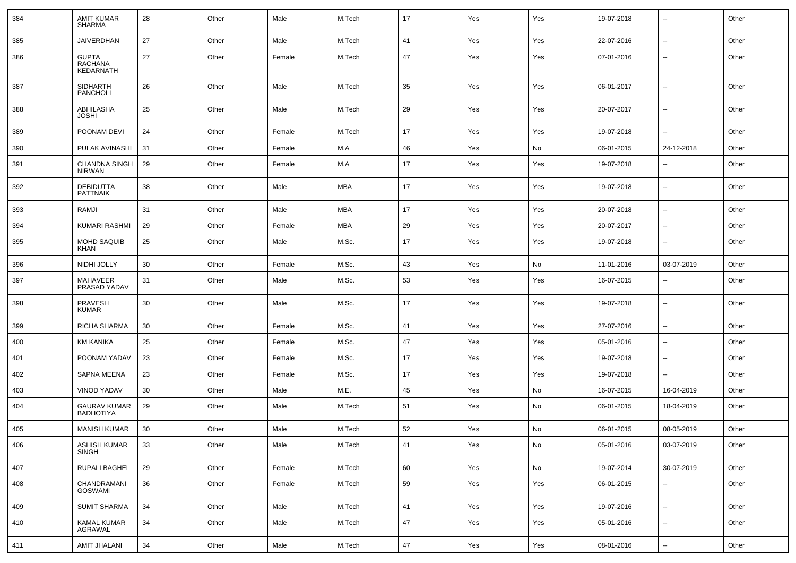| 384 | <b>AMIT KUMAR</b><br><b>SHARMA</b>          | 28 | Other | Male   | M.Tech     | 17 | Yes | Yes | 19-07-2018 | $\overline{\phantom{a}}$ | Other |
|-----|---------------------------------------------|----|-------|--------|------------|----|-----|-----|------------|--------------------------|-------|
| 385 | <b>JAIVERDHAN</b>                           | 27 | Other | Male   | M.Tech     | 41 | Yes | Yes | 22-07-2016 | $\overline{\phantom{a}}$ | Other |
| 386 | <b>GUPTA</b><br>RACHANA<br><b>KEDARNATH</b> | 27 | Other | Female | M.Tech     | 47 | Yes | Yes | 07-01-2016 | $\overline{\phantom{a}}$ | Other |
| 387 | <b>SIDHARTH</b><br><b>PANCHOLI</b>          | 26 | Other | Male   | M.Tech     | 35 | Yes | Yes | 06-01-2017 | $\overline{\phantom{a}}$ | Other |
| 388 | ABHILASHA<br><b>JOSHI</b>                   | 25 | Other | Male   | M.Tech     | 29 | Yes | Yes | 20-07-2017 | $\sim$                   | Other |
| 389 | POONAM DEVI                                 | 24 | Other | Female | M.Tech     | 17 | Yes | Yes | 19-07-2018 | $\sim$                   | Other |
| 390 | PULAK AVINASHI                              | 31 | Other | Female | M.A        | 46 | Yes | No  | 06-01-2015 | 24-12-2018               | Other |
| 391 | <b>CHANDNA SINGH</b><br><b>NIRWAN</b>       | 29 | Other | Female | M.A        | 17 | Yes | Yes | 19-07-2018 | $\overline{\phantom{a}}$ | Other |
| 392 | <b>DEBIDUTTA</b><br><b>PATTNAIK</b>         | 38 | Other | Male   | MBA        | 17 | Yes | Yes | 19-07-2018 | $\overline{\phantom{a}}$ | Other |
| 393 | RAMJI                                       | 31 | Other | Male   | MBA        | 17 | Yes | Yes | 20-07-2018 | $\overline{\phantom{a}}$ | Other |
| 394 | <b>KUMARI RASHMI</b>                        | 29 | Other | Female | <b>MBA</b> | 29 | Yes | Yes | 20-07-2017 | $\overline{\phantom{a}}$ | Other |
| 395 | MOHD SAQUIB<br>KHAN                         | 25 | Other | Male   | M.Sc.      | 17 | Yes | Yes | 19-07-2018 | $\overline{\phantom{a}}$ | Other |
| 396 | NIDHI JOLLY                                 | 30 | Other | Female | M.Sc.      | 43 | Yes | No  | 11-01-2016 | 03-07-2019               | Other |
| 397 | MAHAVEER<br>PRASAD YADAV                    | 31 | Other | Male   | M.Sc.      | 53 | Yes | Yes | 16-07-2015 | $\overline{\phantom{a}}$ | Other |
| 398 | <b>PRAVESH</b><br><b>KUMAR</b>              | 30 | Other | Male   | M.Sc.      | 17 | Yes | Yes | 19-07-2018 | $\overline{\phantom{a}}$ | Other |
| 399 | RICHA SHARMA                                | 30 | Other | Female | M.Sc.      | 41 | Yes | Yes | 27-07-2016 | $\overline{\phantom{a}}$ | Other |
| 400 | <b>KM KANIKA</b>                            | 25 | Other | Female | M.Sc.      | 47 | Yes | Yes | 05-01-2016 | $\overline{\phantom{a}}$ | Other |
| 401 | POONAM YADAV                                | 23 | Other | Female | M.Sc.      | 17 | Yes | Yes | 19-07-2018 | $\overline{\phantom{a}}$ | Other |
| 402 | <b>SAPNA MEENA</b>                          | 23 | Other | Female | M.Sc.      | 17 | Yes | Yes | 19-07-2018 | $\overline{\phantom{a}}$ | Other |
| 403 | <b>VINOD YADAV</b>                          | 30 | Other | Male   | M.E.       | 45 | Yes | No  | 16-07-2015 | 16-04-2019               | Other |
| 404 | <b>GAURAV KUMAR</b><br><b>BADHOTIYA</b>     | 29 | Other | Male   | M.Tech     | 51 | Yes | No  | 06-01-2015 | 18-04-2019               | Other |
| 405 | <b>MANISH KUMAR</b>                         | 30 | Other | Male   | M.Tech     | 52 | Yes | No  | 06-01-2015 | 08-05-2019               | Other |
| 406 | ASHISH KUMAR<br><b>SINGH</b>                | 33 | Other | Male   | M.Tech     | 41 | Yes | No  | 05-01-2016 | 03-07-2019               | Other |
| 407 | RUPALI BAGHEL                               | 29 | Other | Female | M.Tech     | 60 | Yes | No  | 19-07-2014 | 30-07-2019               | Other |
| 408 | CHANDRAMANI<br><b>GOSWAMI</b>               | 36 | Other | Female | M.Tech     | 59 | Yes | Yes | 06-01-2015 | $\overline{\phantom{a}}$ | Other |
| 409 | <b>SUMIT SHARMA</b>                         | 34 | Other | Male   | M.Tech     | 41 | Yes | Yes | 19-07-2016 | $\overline{\phantom{a}}$ | Other |
| 410 | <b>KAMAL KUMAR</b><br>AGRAWAL               | 34 | Other | Male   | M.Tech     | 47 | Yes | Yes | 05-01-2016 | ۰.                       | Other |
| 411 | AMIT JHALANI                                | 34 | Other | Male   | M.Tech     | 47 | Yes | Yes | 08-01-2016 | ۰.                       | Other |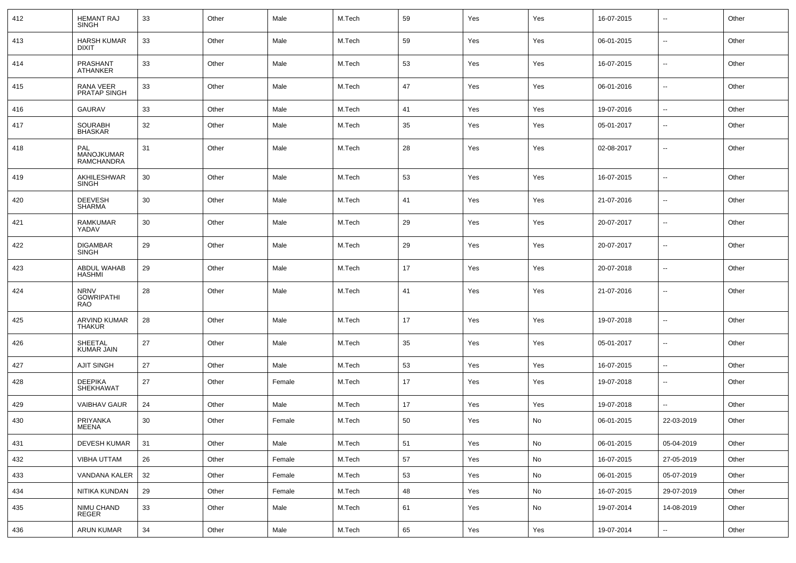| 412 | <b>HEMANT RAJ</b><br>SINGH                     | 33 | Other | Male   | M.Tech | 59 | Yes | Yes | 16-07-2015 | --                       | Other |
|-----|------------------------------------------------|----|-------|--------|--------|----|-----|-----|------------|--------------------------|-------|
| 413 | <b>HARSH KUMAR</b><br><b>DIXIT</b>             | 33 | Other | Male   | M.Tech | 59 | Yes | Yes | 06-01-2015 | н.                       | Other |
| 414 | PRASHANT<br><b>ATHANKER</b>                    | 33 | Other | Male   | M.Tech | 53 | Yes | Yes | 16-07-2015 | н.                       | Other |
| 415 | RANA VEER<br><b>PRATAP SINGH</b>               | 33 | Other | Male   | M.Tech | 47 | Yes | Yes | 06-01-2016 | н.                       | Other |
| 416 | <b>GAURAV</b>                                  | 33 | Other | Male   | M.Tech | 41 | Yes | Yes | 19-07-2016 | $\overline{\phantom{a}}$ | Other |
| 417 | <b>SOURABH</b><br><b>BHASKAR</b>               | 32 | Other | Male   | M.Tech | 35 | Yes | Yes | 05-01-2017 | --                       | Other |
| 418 | PAL<br>MANOJKUMAR<br>RAMCHANDRA                | 31 | Other | Male   | M.Tech | 28 | Yes | Yes | 02-08-2017 | --                       | Other |
| 419 | AKHILESHWAR<br><b>SINGH</b>                    | 30 | Other | Male   | M.Tech | 53 | Yes | Yes | 16-07-2015 | --                       | Other |
| 420 | <b>DEEVESH</b><br><b>SHARMA</b>                | 30 | Other | Male   | M.Tech | 41 | Yes | Yes | 21-07-2016 | н.                       | Other |
| 421 | <b>RAMKUMAR</b><br>YADAV                       | 30 | Other | Male   | M.Tech | 29 | Yes | Yes | 20-07-2017 | --                       | Other |
| 422 | <b>DIGAMBAR</b><br><b>SINGH</b>                | 29 | Other | Male   | M.Tech | 29 | Yes | Yes | 20-07-2017 | н.                       | Other |
| 423 | ABDUL WAHAB<br><b>HASHMI</b>                   | 29 | Other | Male   | M.Tech | 17 | Yes | Yes | 20-07-2018 | --                       | Other |
| 424 | <b>NRNV</b><br><b>GOWRIPATHI</b><br><b>RAO</b> | 28 | Other | Male   | M.Tech | 41 | Yes | Yes | 21-07-2016 | --                       | Other |
| 425 | ARVIND KUMAR<br><b>THAKUR</b>                  | 28 | Other | Male   | M.Tech | 17 | Yes | Yes | 19-07-2018 | ÷.                       | Other |
| 426 | SHEETAL<br><b>KUMAR JAIN</b>                   | 27 | Other | Male   | M.Tech | 35 | Yes | Yes | 05-01-2017 | Ξ.                       | Other |
| 427 | AJIT SINGH                                     | 27 | Other | Male   | M.Tech | 53 | Yes | Yes | 16-07-2015 | $\overline{\phantom{a}}$ | Other |
| 428 | DEEPIKA<br><b>SHEKHAWAT</b>                    | 27 | Other | Female | M.Tech | 17 | Yes | Yes | 19-07-2018 | --                       | Other |
| 429 | <b>VAIBHAV GAUR</b>                            | 24 | Other | Male   | M.Tech | 17 | Yes | Yes | 19-07-2018 | --                       | Other |
| 430 | PRIYANKA<br>MEENA                              | 30 | Other | Female | M.Tech | 50 | Yes | No  | 06-01-2015 | 22-03-2019               | Other |
| 431 | DEVESH KUMAR                                   | 31 | Other | Male   | M.Tech | 51 | Yes | No  | 06-01-2015 | 05-04-2019               | Other |
| 432 | VIBHA UTTAM                                    | 26 | Other | Female | M.Tech | 57 | Yes | No  | 16-07-2015 | 27-05-2019               | Other |
| 433 | VANDANA KALER                                  | 32 | Other | Female | M.Tech | 53 | Yes | No  | 06-01-2015 | 05-07-2019               | Other |
| 434 | NITIKA KUNDAN                                  | 29 | Other | Female | M.Tech | 48 | Yes | No  | 16-07-2015 | 29-07-2019               | Other |
| 435 | NIMU CHAND<br>REGER                            | 33 | Other | Male   | M.Tech | 61 | Yes | No  | 19-07-2014 | 14-08-2019               | Other |
| 436 | ARUN KUMAR                                     | 34 | Other | Male   | M.Tech | 65 | Yes | Yes | 19-07-2014 | $\overline{\phantom{a}}$ | Other |